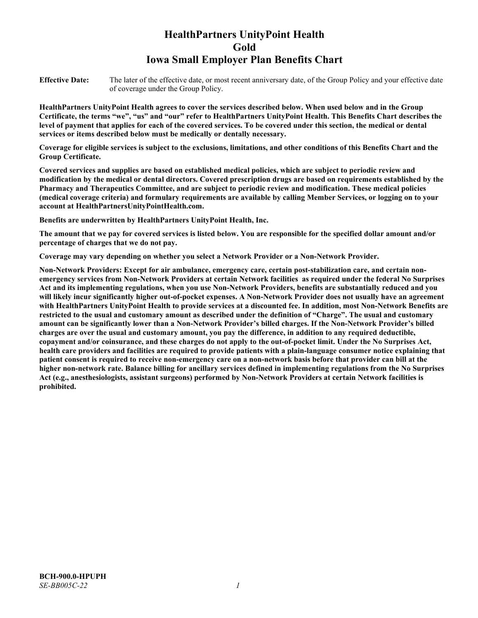# **HealthPartners UnityPoint Health Gold Iowa Small Employer Plan Benefits Chart**

**Effective Date:** The later of the effective date, or most recent anniversary date, of the Group Policy and your effective date of coverage under the Group Policy.

**HealthPartners UnityPoint Health agrees to cover the services described below. When used below and in the Group Certificate, the terms "we", "us" and "our" refer to HealthPartners UnityPoint Health. This Benefits Chart describes the level of payment that applies for each of the covered services. To be covered under this section, the medical or dental services or items described below must be medically or dentally necessary.**

**Coverage for eligible services is subject to the exclusions, limitations, and other conditions of this Benefits Chart and the Group Certificate.** 

**Covered services and supplies are based on established medical policies, which are subject to periodic review and modification by the medical or dental directors. Covered prescription drugs are based on requirements established by the Pharmacy and Therapeutics Committee, and are subject to periodic review and modification. These medical policies (medical coverage criteria) and formulary requirements are available by calling Member Services, or logging on to your account at [HealthPartnersUnityPointHealth.com.](https://www.healthpartnersunitypointhealth.com/)**

**Benefits are underwritten by HealthPartners UnityPoint Health, Inc.**

**The amount that we pay for covered services is listed below. You are responsible for the specified dollar amount and/or percentage of charges that we do not pay.**

**Coverage may vary depending on whether you select a Network Provider or a Non-Network Provider.**

**Non-Network Providers: Except for air ambulance, emergency care, certain post-stabilization care, and certain nonemergency services from Non-Network Providers at certain Network facilities as required under the federal No Surprises Act and its implementing regulations, when you use Non-Network Providers, benefits are substantially reduced and you will likely incur significantly higher out-of-pocket expenses. A Non-Network Provider does not usually have an agreement with HealthPartners UnityPoint Health to provide services at a discounted fee. In addition, most Non-Network Benefits are restricted to the usual and customary amount as described under the definition of "Charge". The usual and customary amount can be significantly lower than a Non-Network Provider's billed charges. If the Non-Network Provider's billed charges are over the usual and customary amount, you pay the difference, in addition to any required deductible, copayment and/or coinsurance, and these charges do not apply to the out-of-pocket limit. Under the No Surprises Act, health care providers and facilities are required to provide patients with a plain-language consumer notice explaining that patient consent is required to receive non-emergency care on a non-network basis before that provider can bill at the higher non-network rate. Balance billing for ancillary services defined in implementing regulations from the No Surprises Act (e.g., anesthesiologists, assistant surgeons) performed by Non-Network Providers at certain Network facilities is prohibited.**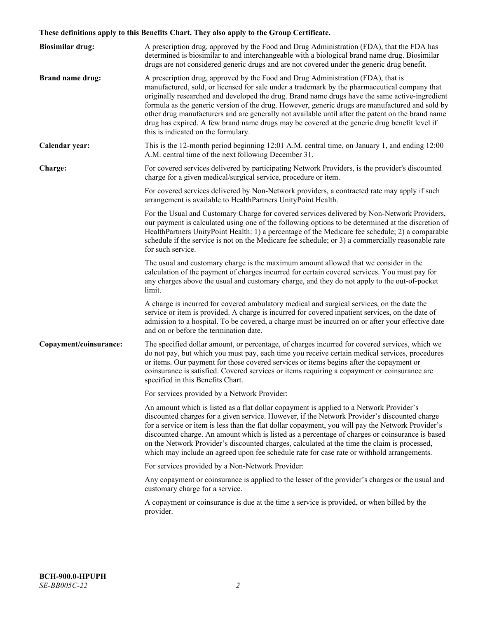# **These definitions apply to this Benefits Chart. They also apply to the Group Certificate.**

| <b>Biosimilar drug:</b> | A prescription drug, approved by the Food and Drug Administration (FDA), that the FDA has<br>determined is biosimilar to and interchangeable with a biological brand name drug. Biosimilar<br>drugs are not considered generic drugs and are not covered under the generic drug benefit.                                                                                                                                                                                                                                                                                                                                           |
|-------------------------|------------------------------------------------------------------------------------------------------------------------------------------------------------------------------------------------------------------------------------------------------------------------------------------------------------------------------------------------------------------------------------------------------------------------------------------------------------------------------------------------------------------------------------------------------------------------------------------------------------------------------------|
| <b>Brand name drug:</b> | A prescription drug, approved by the Food and Drug Administration (FDA), that is<br>manufactured, sold, or licensed for sale under a trademark by the pharmaceutical company that<br>originally researched and developed the drug. Brand name drugs have the same active-ingredient<br>formula as the generic version of the drug. However, generic drugs are manufactured and sold by<br>other drug manufacturers and are generally not available until after the patent on the brand name<br>drug has expired. A few brand name drugs may be covered at the generic drug benefit level if<br>this is indicated on the formulary. |
| Calendar year:          | This is the 12-month period beginning 12:01 A.M. central time, on January 1, and ending 12:00<br>A.M. central time of the next following December 31.                                                                                                                                                                                                                                                                                                                                                                                                                                                                              |
| Charge:                 | For covered services delivered by participating Network Providers, is the provider's discounted<br>charge for a given medical/surgical service, procedure or item.                                                                                                                                                                                                                                                                                                                                                                                                                                                                 |
|                         | For covered services delivered by Non-Network providers, a contracted rate may apply if such<br>arrangement is available to HealthPartners UnityPoint Health.                                                                                                                                                                                                                                                                                                                                                                                                                                                                      |
|                         | For the Usual and Customary Charge for covered services delivered by Non-Network Providers,<br>our payment is calculated using one of the following options to be determined at the discretion of<br>HealthPartners UnityPoint Health: 1) a percentage of the Medicare fee schedule; 2) a comparable<br>schedule if the service is not on the Medicare fee schedule; or 3) a commercially reasonable rate<br>for such service.                                                                                                                                                                                                     |
|                         | The usual and customary charge is the maximum amount allowed that we consider in the<br>calculation of the payment of charges incurred for certain covered services. You must pay for<br>any charges above the usual and customary charge, and they do not apply to the out-of-pocket<br>limit.                                                                                                                                                                                                                                                                                                                                    |
|                         | A charge is incurred for covered ambulatory medical and surgical services, on the date the<br>service or item is provided. A charge is incurred for covered inpatient services, on the date of<br>admission to a hospital. To be covered, a charge must be incurred on or after your effective date<br>and on or before the termination date.                                                                                                                                                                                                                                                                                      |
| Copayment/coinsurance:  | The specified dollar amount, or percentage, of charges incurred for covered services, which we<br>do not pay, but which you must pay, each time you receive certain medical services, procedures<br>or items. Our payment for those covered services or items begins after the copayment or<br>coinsurance is satisfied. Covered services or items requiring a copayment or coinsurance are<br>specified in this Benefits Chart.                                                                                                                                                                                                   |
|                         | For services provided by a Network Provider:                                                                                                                                                                                                                                                                                                                                                                                                                                                                                                                                                                                       |
|                         | An amount which is listed as a flat dollar copayment is applied to a Network Provider's<br>discounted charges for a given service. However, if the Network Provider's discounted charge<br>for a service or item is less than the flat dollar copayment, you will pay the Network Provider's<br>discounted charge. An amount which is listed as a percentage of charges or coinsurance is based<br>on the Network Provider's discounted charges, calculated at the time the claim is processed,<br>which may include an agreed upon fee schedule rate for case rate or withhold arrangements.                                      |
|                         | For services provided by a Non-Network Provider:                                                                                                                                                                                                                                                                                                                                                                                                                                                                                                                                                                                   |
|                         | Any copayment or coinsurance is applied to the lesser of the provider's charges or the usual and<br>customary charge for a service.                                                                                                                                                                                                                                                                                                                                                                                                                                                                                                |
|                         | A copayment or coinsurance is due at the time a service is provided, or when billed by the<br>provider.                                                                                                                                                                                                                                                                                                                                                                                                                                                                                                                            |
|                         |                                                                                                                                                                                                                                                                                                                                                                                                                                                                                                                                                                                                                                    |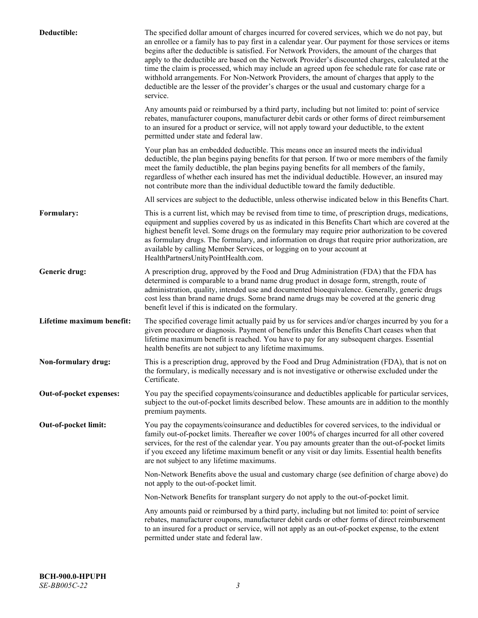| Deductible:               | The specified dollar amount of charges incurred for covered services, which we do not pay, but<br>an enrollee or a family has to pay first in a calendar year. Our payment for those services or items<br>begins after the deductible is satisfied. For Network Providers, the amount of the charges that<br>apply to the deductible are based on the Network Provider's discounted charges, calculated at the<br>time the claim is processed, which may include an agreed upon fee schedule rate for case rate or<br>withhold arrangements. For Non-Network Providers, the amount of charges that apply to the<br>deductible are the lesser of the provider's charges or the usual and customary charge for a<br>service. |
|---------------------------|----------------------------------------------------------------------------------------------------------------------------------------------------------------------------------------------------------------------------------------------------------------------------------------------------------------------------------------------------------------------------------------------------------------------------------------------------------------------------------------------------------------------------------------------------------------------------------------------------------------------------------------------------------------------------------------------------------------------------|
|                           | Any amounts paid or reimbursed by a third party, including but not limited to: point of service<br>rebates, manufacturer coupons, manufacturer debit cards or other forms of direct reimbursement<br>to an insured for a product or service, will not apply toward your deductible, to the extent<br>permitted under state and federal law.                                                                                                                                                                                                                                                                                                                                                                                |
|                           | Your plan has an embedded deductible. This means once an insured meets the individual<br>deductible, the plan begins paying benefits for that person. If two or more members of the family<br>meet the family deductible, the plan begins paying benefits for all members of the family,<br>regardless of whether each insured has met the individual deductible. However, an insured may<br>not contribute more than the individual deductible toward the family deductible.                                                                                                                                                                                                                                              |
|                           | All services are subject to the deductible, unless otherwise indicated below in this Benefits Chart.                                                                                                                                                                                                                                                                                                                                                                                                                                                                                                                                                                                                                       |
| Formulary:                | This is a current list, which may be revised from time to time, of prescription drugs, medications,<br>equipment and supplies covered by us as indicated in this Benefits Chart which are covered at the<br>highest benefit level. Some drugs on the formulary may require prior authorization to be covered<br>as formulary drugs. The formulary, and information on drugs that require prior authorization, are<br>available by calling Member Services, or logging on to your account at<br>HealthPartnersUnityPointHealth.com.                                                                                                                                                                                         |
| Generic drug:             | A prescription drug, approved by the Food and Drug Administration (FDA) that the FDA has<br>determined is comparable to a brand name drug product in dosage form, strength, route of<br>administration, quality, intended use and documented bioequivalence. Generally, generic drugs<br>cost less than brand name drugs. Some brand name drugs may be covered at the generic drug<br>benefit level if this is indicated on the formulary.                                                                                                                                                                                                                                                                                 |
| Lifetime maximum benefit: | The specified coverage limit actually paid by us for services and/or charges incurred by you for a<br>given procedure or diagnosis. Payment of benefits under this Benefits Chart ceases when that<br>lifetime maximum benefit is reached. You have to pay for any subsequent charges. Essential<br>health benefits are not subject to any lifetime maximums.                                                                                                                                                                                                                                                                                                                                                              |
| Non-formulary drug:       | This is a prescription drug, approved by the Food and Drug Administration (FDA), that is not on<br>the formulary, is medically necessary and is not investigative or otherwise excluded under the<br>Certificate.                                                                                                                                                                                                                                                                                                                                                                                                                                                                                                          |
| Out-of-pocket expenses:   | You pay the specified copayments/coinsurance and deductibles applicable for particular services,<br>subject to the out-of-pocket limits described below. These amounts are in addition to the monthly<br>premium payments.                                                                                                                                                                                                                                                                                                                                                                                                                                                                                                 |
| Out-of-pocket limit:      | You pay the copayments/coinsurance and deductibles for covered services, to the individual or<br>family out-of-pocket limits. Thereafter we cover 100% of charges incurred for all other covered<br>services, for the rest of the calendar year. You pay amounts greater than the out-of-pocket limits<br>if you exceed any lifetime maximum benefit or any visit or day limits. Essential health benefits<br>are not subject to any lifetime maximums.                                                                                                                                                                                                                                                                    |
|                           | Non-Network Benefits above the usual and customary charge (see definition of charge above) do<br>not apply to the out-of-pocket limit.                                                                                                                                                                                                                                                                                                                                                                                                                                                                                                                                                                                     |
|                           | Non-Network Benefits for transplant surgery do not apply to the out-of-pocket limit.                                                                                                                                                                                                                                                                                                                                                                                                                                                                                                                                                                                                                                       |
|                           | Any amounts paid or reimbursed by a third party, including but not limited to: point of service<br>rebates, manufacturer coupons, manufacturer debit cards or other forms of direct reimbursement<br>to an insured for a product or service, will not apply as an out-of-pocket expense, to the extent<br>permitted under state and federal law.                                                                                                                                                                                                                                                                                                                                                                           |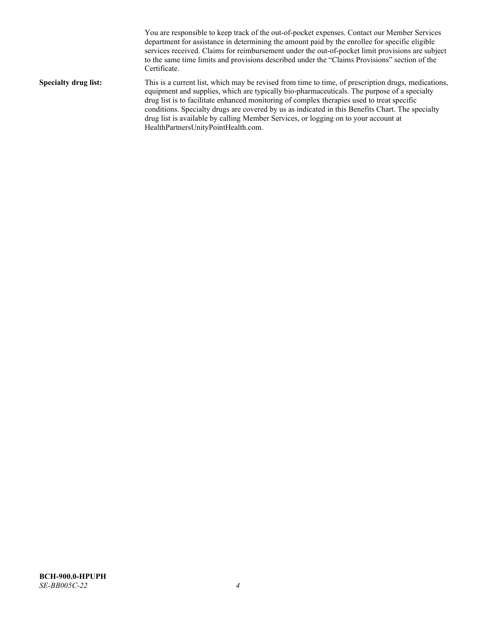You are responsible to keep track of the out-of-pocket expenses. Contact our Member Services department for assistance in determining the amount paid by the enrollee for specific eligible services received. Claims for reimbursement under the out-of-pocket limit provisions are subject to the same time limits and provisions described under the "Claims Provisions" section of the Certificate. **Specialty drug list:** This is a current list, which may be revised from time to time, of prescription drugs, medications, equipment and supplies, which are typically bio-pharmaceuticals. The purpose of a specialty drug list is to facilitate enhanced monitoring of complex therapies used to treat specific conditions. Specialty drugs are covered by us as indicated in this Benefits Chart. The specialty drug list is available by calling Member Services, or logging on to your account at [HealthPartnersUnityPointHealth.com.](https://www.healthpartnersunitypointhealth.com/)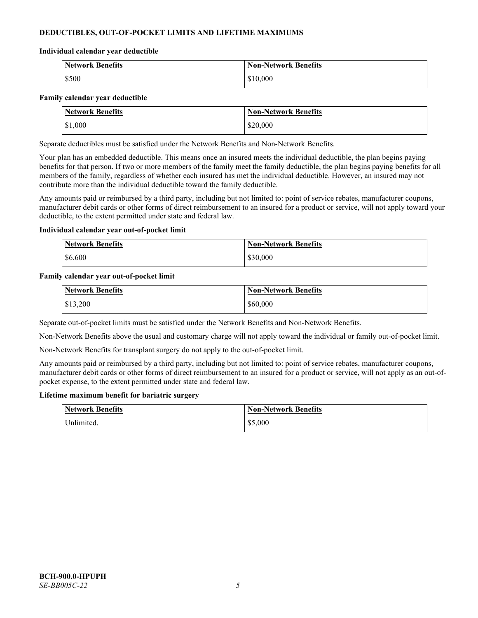# **DEDUCTIBLES, OUT-OF-POCKET LIMITS AND LIFETIME MAXIMUMS**

### **Individual calendar year deductible**

| <b>Network Benefits</b> | <b>Non-Network Benefits</b> |
|-------------------------|-----------------------------|
| \$500                   | \$10,000                    |

### **Family calendar year deductible**

| <b>Network Benefits</b> | <b>Non-Network Benefits</b> |
|-------------------------|-----------------------------|
| \$1,000                 | \$20,000                    |

Separate deductibles must be satisfied under the Network Benefits and Non-Network Benefits.

Your plan has an embedded deductible. This means once an insured meets the individual deductible, the plan begins paying benefits for that person. If two or more members of the family meet the family deductible, the plan begins paying benefits for all members of the family, regardless of whether each insured has met the individual deductible. However, an insured may not contribute more than the individual deductible toward the family deductible.

Any amounts paid or reimbursed by a third party, including but not limited to: point of service rebates, manufacturer coupons, manufacturer debit cards or other forms of direct reimbursement to an insured for a product or service, will not apply toward your deductible, to the extent permitted under state and federal law.

### **Individual calendar year out-of-pocket limit**

| <b>Network Benefits</b> | <b>Non-Network Benefits</b> |
|-------------------------|-----------------------------|
| \$6,600                 | \$30,000                    |

### **Family calendar year out-of-pocket limit**

| <b>Network Benefits</b> | <b>Non-Network Benefits</b> |
|-------------------------|-----------------------------|
| \$13,200                | \$60,000                    |

Separate out-of-pocket limits must be satisfied under the Network Benefits and Non-Network Benefits.

Non-Network Benefits above the usual and customary charge will not apply toward the individual or family out-of-pocket limit.

Non-Network Benefits for transplant surgery do not apply to the out-of-pocket limit.

Any amounts paid or reimbursed by a third party, including but not limited to: point of service rebates, manufacturer coupons, manufacturer debit cards or other forms of direct reimbursement to an insured for a product or service, will not apply as an out-ofpocket expense, to the extent permitted under state and federal law.

### **Lifetime maximum benefit for bariatric surgery**

| <b>Network Benefits</b> | <b>Non-Network Benefits</b> |
|-------------------------|-----------------------------|
| <sup>I</sup> Inlimited. | \$5,000                     |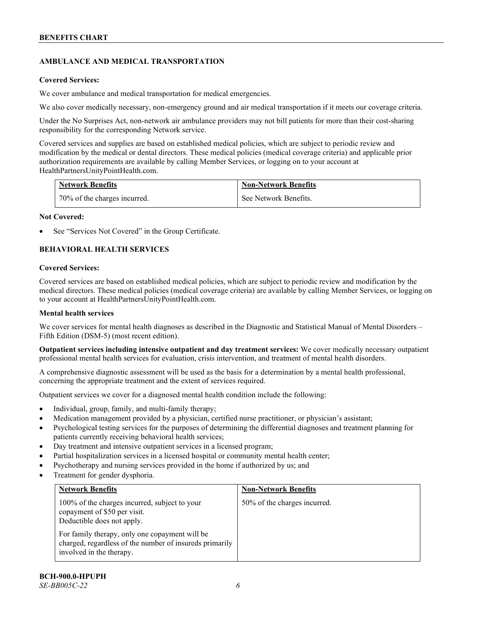# **AMBULANCE AND MEDICAL TRANSPORTATION**

### **Covered Services:**

We cover ambulance and medical transportation for medical emergencies.

We also cover medically necessary, non-emergency ground and air medical transportation if it meets our coverage criteria.

Under the No Surprises Act, non-network air ambulance providers may not bill patients for more than their cost-sharing responsibility for the corresponding Network service.

Covered services and supplies are based on established medical policies, which are subject to periodic review and modification by the medical or dental directors. These medical policies (medical coverage criteria) and applicable prior authorization requirements are available by calling Member Services, or logging on to your account at [HealthPartnersUnityPointHealth.com.](https://www.healthpartnersunitypointhealth.com/)

| <b>Network Benefits</b>      | <b>Non-Network Benefits</b> |
|------------------------------|-----------------------------|
| 70% of the charges incurred. | See Network Benefits.       |

### **Not Covered:**

See "Services Not Covered" in the Group Certificate.

# **BEHAVIORAL HEALTH SERVICES**

### **Covered Services:**

Covered services are based on established medical policies, which are subject to periodic review and modification by the medical directors. These medical policies (medical coverage criteria) are available by calling Member Services, or logging on to your account at [HealthPartnersUnityPointHealth.com.](https://www.healthpartnersunitypointhealth.com/)

### **Mental health services**

We cover services for mental health diagnoses as described in the Diagnostic and Statistical Manual of Mental Disorders – Fifth Edition (DSM-5) (most recent edition).

**Outpatient services including intensive outpatient and day treatment services:** We cover medically necessary outpatient professional mental health services for evaluation, crisis intervention, and treatment of mental health disorders.

A comprehensive diagnostic assessment will be used as the basis for a determination by a mental health professional, concerning the appropriate treatment and the extent of services required.

Outpatient services we cover for a diagnosed mental health condition include the following:

- Individual, group, family, and multi-family therapy;
- Medication management provided by a physician, certified nurse practitioner, or physician's assistant;
- Psychological testing services for the purposes of determining the differential diagnoses and treatment planning for patients currently receiving behavioral health services;
- Day treatment and intensive outpatient services in a licensed program;
- Partial hospitalization services in a licensed hospital or community mental health center;
- Psychotherapy and nursing services provided in the home if authorized by us; and
- Treatment for gender dysphoria.

| <b>Network Benefits</b>                                                                                                               | <b>Non-Network Benefits</b>  |
|---------------------------------------------------------------------------------------------------------------------------------------|------------------------------|
| 100% of the charges incurred, subject to your<br>copayment of \$50 per visit.<br>Deductible does not apply.                           | 50% of the charges incurred. |
| For family therapy, only one copayment will be<br>charged, regardless of the number of insureds primarily<br>involved in the therapy. |                              |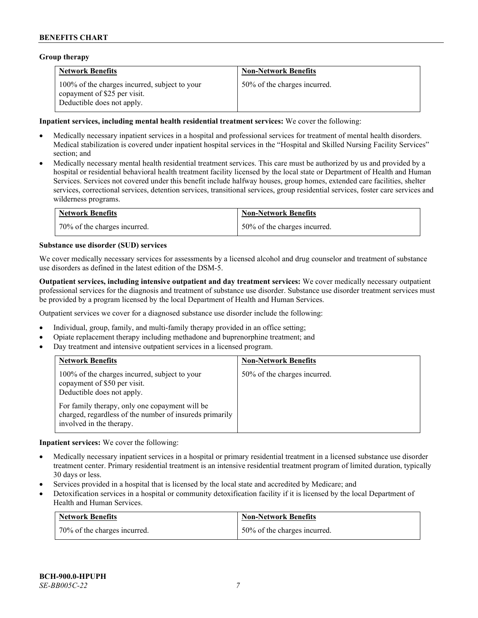# **Group therapy**

| <b>Network Benefits</b>                                                                                     | <b>Non-Network Benefits</b>  |
|-------------------------------------------------------------------------------------------------------------|------------------------------|
| 100% of the charges incurred, subject to your<br>copayment of \$25 per visit.<br>Deductible does not apply. | 50% of the charges incurred. |

### **Inpatient services, including mental health residential treatment services:** We cover the following:

- Medically necessary inpatient services in a hospital and professional services for treatment of mental health disorders. Medical stabilization is covered under inpatient hospital services in the "Hospital and Skilled Nursing Facility Services" section; and
- Medically necessary mental health residential treatment services. This care must be authorized by us and provided by a hospital or residential behavioral health treatment facility licensed by the local state or Department of Health and Human Services. Services not covered under this benefit include halfway houses, group homes, extended care facilities, shelter services, correctional services, detention services, transitional services, group residential services, foster care services and wilderness programs.

| <b>Network Benefits</b>      | <b>Non-Network Benefits</b>  |
|------------------------------|------------------------------|
| 70% of the charges incurred. | 50% of the charges incurred. |

### **Substance use disorder (SUD) services**

We cover medically necessary services for assessments by a licensed alcohol and drug counselor and treatment of substance use disorders as defined in the latest edition of the DSM-5.

**Outpatient services, including intensive outpatient and day treatment services:** We cover medically necessary outpatient professional services for the diagnosis and treatment of substance use disorder. Substance use disorder treatment services must be provided by a program licensed by the local Department of Health and Human Services.

Outpatient services we cover for a diagnosed substance use disorder include the following:

- Individual, group, family, and multi-family therapy provided in an office setting;
- Opiate replacement therapy including methadone and buprenorphine treatment; and
- Day treatment and intensive outpatient services in a licensed program.

| <b>Network Benefits</b>                                                                                                               | <b>Non-Network Benefits</b>  |
|---------------------------------------------------------------------------------------------------------------------------------------|------------------------------|
| 100% of the charges incurred, subject to your<br>copayment of \$50 per visit.<br>Deductible does not apply.                           | 50% of the charges incurred. |
| For family therapy, only one copayment will be<br>charged, regardless of the number of insureds primarily<br>involved in the therapy. |                              |

**Inpatient services:** We cover the following:

- Medically necessary inpatient services in a hospital or primary residential treatment in a licensed substance use disorder treatment center. Primary residential treatment is an intensive residential treatment program of limited duration, typically 30 days or less.
- Services provided in a hospital that is licensed by the local state and accredited by Medicare; and
- Detoxification services in a hospital or community detoxification facility if it is licensed by the local Department of Health and Human Services.

| <b>Network Benefits</b>      | <b>Non-Network Benefits</b>  |
|------------------------------|------------------------------|
| 70% of the charges incurred. | 50% of the charges incurred. |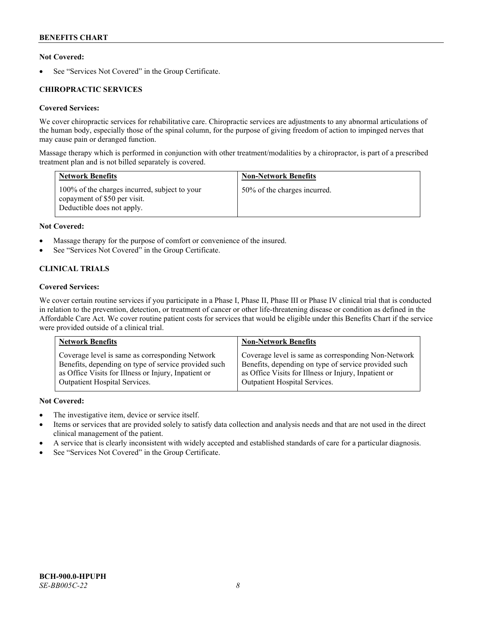# **Not Covered:**

See "Services Not Covered" in the Group Certificate.

# **CHIROPRACTIC SERVICES**

# **Covered Services:**

We cover chiropractic services for rehabilitative care. Chiropractic services are adjustments to any abnormal articulations of the human body, especially those of the spinal column, for the purpose of giving freedom of action to impinged nerves that may cause pain or deranged function.

Massage therapy which is performed in conjunction with other treatment/modalities by a chiropractor, is part of a prescribed treatment plan and is not billed separately is covered.

| <b>Network Benefits</b>                                                                                     | <b>Non-Network Benefits</b>  |
|-------------------------------------------------------------------------------------------------------------|------------------------------|
| 100% of the charges incurred, subject to your<br>copayment of \$50 per visit.<br>Deductible does not apply. | 50% of the charges incurred. |

# **Not Covered:**

- Massage therapy for the purpose of comfort or convenience of the insured.
- See "Services Not Covered" in the Group Certificate.

# **CLINICAL TRIALS**

# **Covered Services:**

We cover certain routine services if you participate in a Phase I, Phase II, Phase III or Phase IV clinical trial that is conducted in relation to the prevention, detection, or treatment of cancer or other life-threatening disease or condition as defined in the Affordable Care Act. We cover routine patient costs for services that would be eligible under this Benefits Chart if the service were provided outside of a clinical trial.

| <b>Network Benefits</b>                              | <b>Non-Network Benefits</b>                          |
|------------------------------------------------------|------------------------------------------------------|
| Coverage level is same as corresponding Network      | Coverage level is same as corresponding Non-Network  |
| Benefits, depending on type of service provided such | Benefits, depending on type of service provided such |
| as Office Visits for Illness or Injury, Inpatient or | as Office Visits for Illness or Injury, Inpatient or |
| Outpatient Hospital Services.                        | Outpatient Hospital Services.                        |

# **Not Covered:**

- The investigative item, device or service itself.
- Items or services that are provided solely to satisfy data collection and analysis needs and that are not used in the direct clinical management of the patient.
- A service that is clearly inconsistent with widely accepted and established standards of care for a particular diagnosis.
- See "Services Not Covered" in the Group Certificate.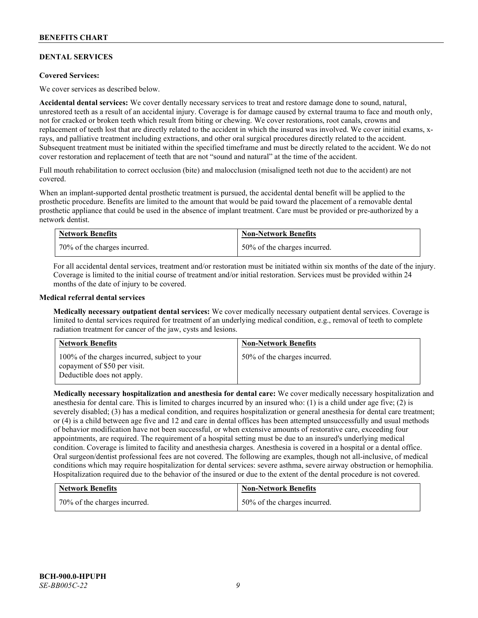# **DENTAL SERVICES**

### **Covered Services:**

We cover services as described below.

**Accidental dental services:** We cover dentally necessary services to treat and restore damage done to sound, natural, unrestored teeth as a result of an accidental injury. Coverage is for damage caused by external trauma to face and mouth only, not for cracked or broken teeth which result from biting or chewing. We cover restorations, root canals, crowns and replacement of teeth lost that are directly related to the accident in which the insured was involved. We cover initial exams, xrays, and palliative treatment including extractions, and other oral surgical procedures directly related to the accident. Subsequent treatment must be initiated within the specified timeframe and must be directly related to the accident. We do not cover restoration and replacement of teeth that are not "sound and natural" at the time of the accident.

Full mouth rehabilitation to correct occlusion (bite) and malocclusion (misaligned teeth not due to the accident) are not covered.

When an implant-supported dental prosthetic treatment is pursued, the accidental dental benefit will be applied to the prosthetic procedure. Benefits are limited to the amount that would be paid toward the placement of a removable dental prosthetic appliance that could be used in the absence of implant treatment. Care must be provided or pre-authorized by a network dentist.

| <b>Network Benefits</b>      | <b>Non-Network Benefits</b>  |
|------------------------------|------------------------------|
| 70% of the charges incurred. | 50% of the charges incurred. |

For all accidental dental services, treatment and/or restoration must be initiated within six months of the date of the injury. Coverage is limited to the initial course of treatment and/or initial restoration. Services must be provided within 24 months of the date of injury to be covered.

### **Medical referral dental services**

**Medically necessary outpatient dental services:** We cover medically necessary outpatient dental services. Coverage is limited to dental services required for treatment of an underlying medical condition, e.g., removal of teeth to complete radiation treatment for cancer of the jaw, cysts and lesions.

| <b>Network Benefits</b>                                                                                     | <b>Non-Network Benefits</b>  |
|-------------------------------------------------------------------------------------------------------------|------------------------------|
| 100% of the charges incurred, subject to your<br>copayment of \$50 per visit.<br>Deductible does not apply. | 50% of the charges incurred. |

**Medically necessary hospitalization and anesthesia for dental care:** We cover medically necessary hospitalization and anesthesia for dental care. This is limited to charges incurred by an insured who: (1) is a child under age five; (2) is severely disabled; (3) has a medical condition, and requires hospitalization or general anesthesia for dental care treatment; or (4) is a child between age five and 12 and care in dental offices has been attempted unsuccessfully and usual methods of behavior modification have not been successful, or when extensive amounts of restorative care, exceeding four appointments, are required. The requirement of a hospital setting must be due to an insured's underlying medical condition. Coverage is limited to facility and anesthesia charges. Anesthesia is covered in a hospital or a dental office. Oral surgeon/dentist professional fees are not covered. The following are examples, though not all-inclusive, of medical conditions which may require hospitalization for dental services: severe asthma, severe airway obstruction or hemophilia. Hospitalization required due to the behavior of the insured or due to the extent of the dental procedure is not covered.

| <b>Network Benefits</b>      | Non-Network Benefits         |
|------------------------------|------------------------------|
| 70% of the charges incurred. | 50% of the charges incurred. |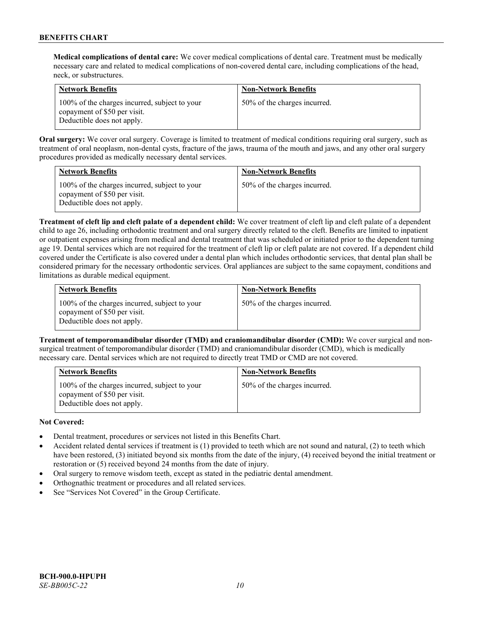**Medical complications of dental care:** We cover medical complications of dental care. Treatment must be medically necessary care and related to medical complications of non-covered dental care, including complications of the head, neck, or substructures.

| <b>Network Benefits</b>                                                                                     | <b>Non-Network Benefits</b>  |
|-------------------------------------------------------------------------------------------------------------|------------------------------|
| 100% of the charges incurred, subject to your<br>copayment of \$50 per visit.<br>Deductible does not apply. | 50% of the charges incurred. |

**Oral surgery:** We cover oral surgery. Coverage is limited to treatment of medical conditions requiring oral surgery, such as treatment of oral neoplasm, non-dental cysts, fracture of the jaws, trauma of the mouth and jaws, and any other oral surgery procedures provided as medically necessary dental services.

| <b>Network Benefits</b>                                                                                     | <b>Non-Network Benefits</b>  |
|-------------------------------------------------------------------------------------------------------------|------------------------------|
| 100% of the charges incurred, subject to your<br>copayment of \$50 per visit.<br>Deductible does not apply. | 50% of the charges incurred. |

**Treatment of cleft lip and cleft palate of a dependent child:** We cover treatment of cleft lip and cleft palate of a dependent child to age 26, including orthodontic treatment and oral surgery directly related to the cleft. Benefits are limited to inpatient or outpatient expenses arising from medical and dental treatment that was scheduled or initiated prior to the dependent turning age 19. Dental services which are not required for the treatment of cleft lip or cleft palate are not covered. If a dependent child covered under the Certificate is also covered under a dental plan which includes orthodontic services, that dental plan shall be considered primary for the necessary orthodontic services. Oral appliances are subject to the same copayment, conditions and limitations as durable medical equipment.

| <b>Network Benefits</b>                                                                                     | <b>Non-Network Benefits</b>  |
|-------------------------------------------------------------------------------------------------------------|------------------------------|
| 100% of the charges incurred, subject to your<br>copayment of \$50 per visit.<br>Deductible does not apply. | 50% of the charges incurred. |

**Treatment of temporomandibular disorder (TMD) and craniomandibular disorder (CMD):** We cover surgical and nonsurgical treatment of temporomandibular disorder (TMD) and craniomandibular disorder (CMD), which is medically necessary care. Dental services which are not required to directly treat TMD or CMD are not covered.

| <b>Network Benefits</b>                                                                                     | <b>Non-Network Benefits</b>  |
|-------------------------------------------------------------------------------------------------------------|------------------------------|
| 100% of the charges incurred, subject to your<br>copayment of \$50 per visit.<br>Deductible does not apply. | 50% of the charges incurred. |

# **Not Covered:**

- Dental treatment, procedures or services not listed in this Benefits Chart.
- Accident related dental services if treatment is (1) provided to teeth which are not sound and natural, (2) to teeth which have been restored, (3) initiated beyond six months from the date of the injury, (4) received beyond the initial treatment or restoration or (5) received beyond 24 months from the date of injury.
- Oral surgery to remove wisdom teeth, except as stated in the pediatric dental amendment.
- Orthognathic treatment or procedures and all related services.
- See "Services Not Covered" in the Group Certificate.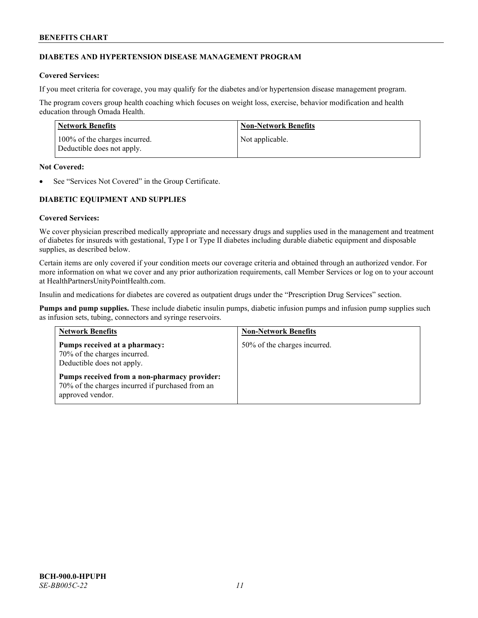# **DIABETES AND HYPERTENSION DISEASE MANAGEMENT PROGRAM**

# **Covered Services:**

If you meet criteria for coverage, you may qualify for the diabetes and/or hypertension disease management program.

The program covers group health coaching which focuses on weight loss, exercise, behavior modification and health education through Omada Health.

| Network Benefits                                            | <b>Non-Network Benefits</b> |
|-------------------------------------------------------------|-----------------------------|
| 100% of the charges incurred.<br>Deductible does not apply. | Not applicable.             |

### **Not Covered:**

See "Services Not Covered" in the Group Certificate.

# **DIABETIC EQUIPMENT AND SUPPLIES**

# **Covered Services:**

We cover physician prescribed medically appropriate and necessary drugs and supplies used in the management and treatment of diabetes for insureds with gestational, Type I or Type II diabetes including durable diabetic equipment and disposable supplies, as described below.

Certain items are only covered if your condition meets our coverage criteria and obtained through an authorized vendor. For more information on what we cover and any prior authorization requirements, call Member Services or log on to your account at [HealthPartnersUnityPointHealth.com.](https://www.healthpartnersunitypointhealth.com/)

Insulin and medications for diabetes are covered as outpatient drugs under the "Prescription Drug Services" section.

**Pumps and pump supplies.** These include diabetic insulin pumps, diabetic infusion pumps and infusion pump supplies such as infusion sets, tubing, connectors and syringe reservoirs.

| <b>Network Benefits</b>                                                                                              | <b>Non-Network Benefits</b>  |
|----------------------------------------------------------------------------------------------------------------------|------------------------------|
| Pumps received at a pharmacy:<br>70% of the charges incurred.<br>Deductible does not apply.                          | 50% of the charges incurred. |
| Pumps received from a non-pharmacy provider:<br>70% of the charges incurred if purchased from an<br>approved vendor. |                              |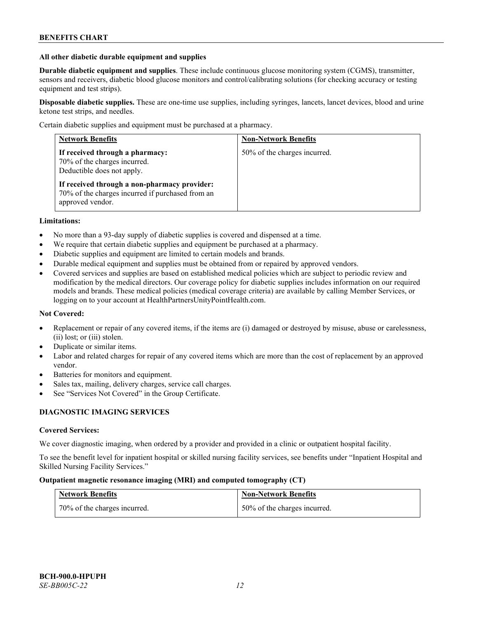### **All other diabetic durable equipment and supplies**

**Durable diabetic equipment and supplies**. These include continuous glucose monitoring system (CGMS), transmitter, sensors and receivers, diabetic blood glucose monitors and control/calibrating solutions (for checking accuracy or testing equipment and test strips).

**Disposable diabetic supplies.** These are one-time use supplies, including syringes, lancets, lancet devices, blood and urine ketone test strips, and needles.

Certain diabetic supplies and equipment must be purchased at a pharmacy.

| <b>Network Benefits</b>                                                                                              | <b>Non-Network Benefits</b>  |
|----------------------------------------------------------------------------------------------------------------------|------------------------------|
| If received through a pharmacy:<br>70% of the charges incurred.<br>Deductible does not apply.                        | 50% of the charges incurred. |
| If received through a non-pharmacy provider:<br>70% of the charges incurred if purchased from an<br>approved vendor. |                              |

### **Limitations:**

- No more than a 93-day supply of diabetic supplies is covered and dispensed at a time.
- We require that certain diabetic supplies and equipment be purchased at a pharmacy.
- Diabetic supplies and equipment are limited to certain models and brands.
- Durable medical equipment and supplies must be obtained from or repaired by approved vendors.
- Covered services and supplies are based on established medical policies which are subject to periodic review and modification by the medical directors. Our coverage policy for diabetic supplies includes information on our required models and brands. These medical policies (medical coverage criteria) are available by calling Member Services, or logging on to your account a[t HealthPartnersUnityPointHealth.com.](https://www.healthpartnersunitypointhealth.com/)

### **Not Covered:**

- Replacement or repair of any covered items, if the items are (i) damaged or destroyed by misuse, abuse or carelessness, (ii) lost; or (iii) stolen.
- Duplicate or similar items.
- Labor and related charges for repair of any covered items which are more than the cost of replacement by an approved vendor.
- Batteries for monitors and equipment.
- Sales tax, mailing, delivery charges, service call charges.
- See "Services Not Covered" in the Group Certificate.

# **DIAGNOSTIC IMAGING SERVICES**

### **Covered Services:**

We cover diagnostic imaging, when ordered by a provider and provided in a clinic or outpatient hospital facility.

To see the benefit level for inpatient hospital or skilled nursing facility services, see benefits under "Inpatient Hospital and Skilled Nursing Facility Services."

### **Outpatient magnetic resonance imaging (MRI) and computed tomography (CT)**

| <b>Network Benefits</b>      | <b>Non-Network Benefits</b>  |
|------------------------------|------------------------------|
| 70% of the charges incurred. | 50% of the charges incurred. |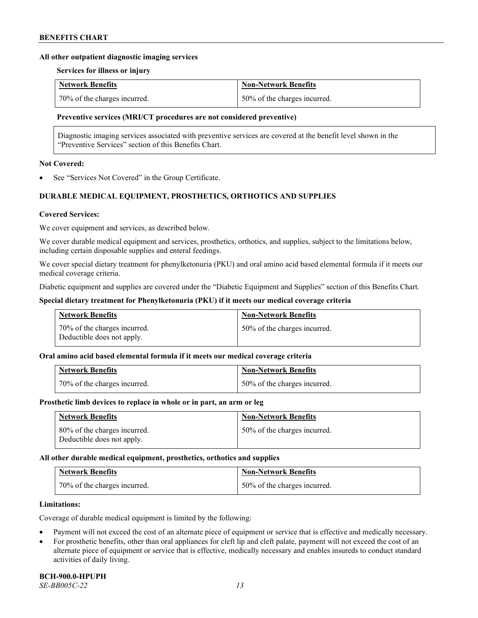### **All other outpatient diagnostic imaging services**

### **Services for illness or injury**

| <b>Network Benefits</b>      | <b>Non-Network Benefits</b>  |
|------------------------------|------------------------------|
| 70% of the charges incurred. | 50% of the charges incurred. |

### **Preventive services (MRI/CT procedures are not considered preventive)**

Diagnostic imaging services associated with preventive services are covered at the benefit level shown in the "Preventive Services" section of this Benefits Chart.

### **Not Covered:**

See "Services Not Covered" in the Group Certificate.

# **DURABLE MEDICAL EQUIPMENT, PROSTHETICS, ORTHOTICS AND SUPPLIES**

### **Covered Services:**

We cover equipment and services, as described below.

We cover durable medical equipment and services, prosthetics, orthotics, and supplies, subject to the limitations below, including certain disposable supplies and enteral feedings.

We cover special dietary treatment for phenylketonuria (PKU) and oral amino acid based elemental formula if it meets our medical coverage criteria.

Diabetic equipment and supplies are covered under the "Diabetic Equipment and Supplies" section of this Benefits Chart.

### **Special dietary treatment for Phenylketonuria (PKU) if it meets our medical coverage criteria**

| <b>Network Benefits</b>                                    | <b>Non-Network Benefits</b>  |
|------------------------------------------------------------|------------------------------|
| 70% of the charges incurred.<br>Deductible does not apply. | 50% of the charges incurred. |

# **Oral amino acid based elemental formula if it meets our medical coverage criteria**

| Network Benefits             | <b>Non-Network Benefits</b>  |
|------------------------------|------------------------------|
| 70% of the charges incurred. | 50% of the charges incurred. |

### **Prosthetic limb devices to replace in whole or in part, an arm or leg**

| <b>Network Benefits</b>                                    | <b>Non-Network Benefits</b>  |
|------------------------------------------------------------|------------------------------|
| 80% of the charges incurred.<br>Deductible does not apply. | 50% of the charges incurred. |

### **All other durable medical equipment, prosthetics, orthotics and supplies**

| <b>Network Benefits</b>      | <b>Non-Network Benefits</b>  |
|------------------------------|------------------------------|
| 70% of the charges incurred. | 50% of the charges incurred. |

### **Limitations:**

Coverage of durable medical equipment is limited by the following:

- Payment will not exceed the cost of an alternate piece of equipment or service that is effective and medically necessary.
- For prosthetic benefits, other than oral appliances for cleft lip and cleft palate, payment will not exceed the cost of an alternate piece of equipment or service that is effective, medically necessary and enables insureds to conduct standard activities of daily living.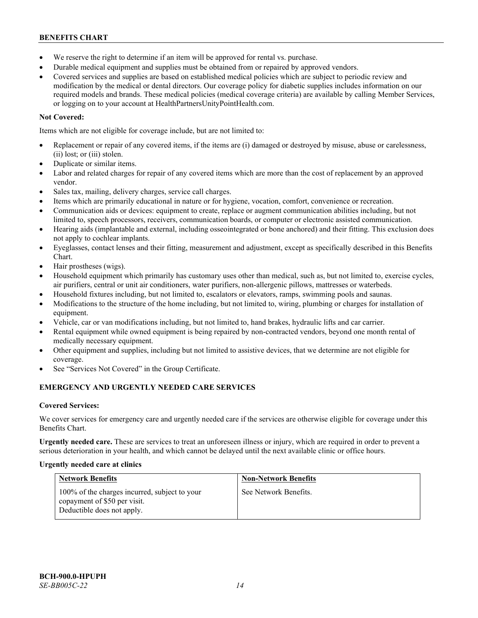- We reserve the right to determine if an item will be approved for rental vs. purchase.
- Durable medical equipment and supplies must be obtained from or repaired by approved vendors.
- Covered services and supplies are based on established medical policies which are subject to periodic review and modification by the medical or dental directors. Our coverage policy for diabetic supplies includes information on our required models and brands. These medical policies (medical coverage criteria) are available by calling Member Services, or logging on to your account at [HealthPartnersUnityPointHealth.com.](https://www.healthpartnersunitypointhealth.com/)

# **Not Covered:**

Items which are not eligible for coverage include, but are not limited to:

- Replacement or repair of any covered items, if the items are (i) damaged or destroyed by misuse, abuse or carelessness, (ii) lost; or (iii) stolen.
- Duplicate or similar items.
- Labor and related charges for repair of any covered items which are more than the cost of replacement by an approved vendor.
- Sales tax, mailing, delivery charges, service call charges.
- Items which are primarily educational in nature or for hygiene, vocation, comfort, convenience or recreation.
- Communication aids or devices: equipment to create, replace or augment communication abilities including, but not limited to, speech processors, receivers, communication boards, or computer or electronic assisted communication.
- Hearing aids (implantable and external, including osseointegrated or bone anchored) and their fitting. This exclusion does not apply to cochlear implants.
- Eyeglasses, contact lenses and their fitting, measurement and adjustment, except as specifically described in this Benefits Chart.
- Hair prostheses (wigs).
- Household equipment which primarily has customary uses other than medical, such as, but not limited to, exercise cycles, air purifiers, central or unit air conditioners, water purifiers, non-allergenic pillows, mattresses or waterbeds.
- Household fixtures including, but not limited to, escalators or elevators, ramps, swimming pools and saunas.
- Modifications to the structure of the home including, but not limited to, wiring, plumbing or charges for installation of equipment.
- Vehicle, car or van modifications including, but not limited to, hand brakes, hydraulic lifts and car carrier.
- Rental equipment while owned equipment is being repaired by non-contracted vendors, beyond one month rental of medically necessary equipment.
- Other equipment and supplies, including but not limited to assistive devices, that we determine are not eligible for coverage.
- See "Services Not Covered" in the Group Certificate.

# **EMERGENCY AND URGENTLY NEEDED CARE SERVICES**

# **Covered Services:**

We cover services for emergency care and urgently needed care if the services are otherwise eligible for coverage under this Benefits Chart.

**Urgently needed care.** These are services to treat an unforeseen illness or injury, which are required in order to prevent a serious deterioration in your health, and which cannot be delayed until the next available clinic or office hours.

# **Urgently needed care at clinics**

| <b>Network Benefits</b>                                                                                     | <b>Non-Network Benefits</b> |
|-------------------------------------------------------------------------------------------------------------|-----------------------------|
| 100% of the charges incurred, subject to your<br>copayment of \$50 per visit.<br>Deductible does not apply. | See Network Benefits.       |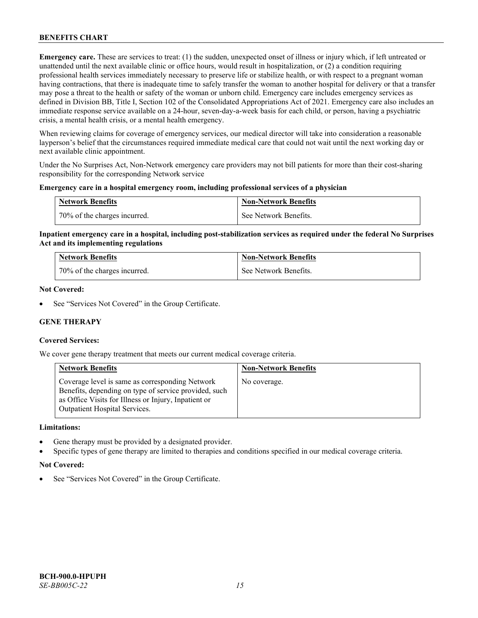**Emergency care.** These are services to treat: (1) the sudden, unexpected onset of illness or injury which, if left untreated or unattended until the next available clinic or office hours, would result in hospitalization, or (2) a condition requiring professional health services immediately necessary to preserve life or stabilize health, or with respect to a pregnant woman having contractions, that there is inadequate time to safely transfer the woman to another hospital for delivery or that a transfer may pose a threat to the health or safety of the woman or unborn child. Emergency care includes emergency services as defined in Division BB, Title I, Section 102 of the Consolidated Appropriations Act of 2021. Emergency care also includes an immediate response service available on a 24-hour, seven-day-a-week basis for each child, or person, having a psychiatric crisis, a mental health crisis, or a mental health emergency.

When reviewing claims for coverage of emergency services, our medical director will take into consideration a reasonable layperson's belief that the circumstances required immediate medical care that could not wait until the next working day or next available clinic appointment.

Under the No Surprises Act, Non-Network emergency care providers may not bill patients for more than their cost-sharing responsibility for the corresponding Network service

### **Emergency care in a hospital emergency room, including professional services of a physician**

| <b>Network Benefits</b>      | <b>Non-Network Benefits</b> |
|------------------------------|-----------------------------|
| 70% of the charges incurred. | See Network Benefits.       |

# **Inpatient emergency care in a hospital, including post-stabilization services as required under the federal No Surprises Act and its implementing regulations**

| <b>Network Benefits</b>      | <b>Non-Network Benefits</b> |
|------------------------------|-----------------------------|
| 70% of the charges incurred. | See Network Benefits.       |

### **Not Covered:**

See "Services Not Covered" in the Group Certificate.

# **GENE THERAPY**

# **Covered Services:**

We cover gene therapy treatment that meets our current medical coverage criteria.

| <b>Network Benefits</b>                                                                                                                                                                                  | <b>Non-Network Benefits</b> |
|----------------------------------------------------------------------------------------------------------------------------------------------------------------------------------------------------------|-----------------------------|
| Coverage level is same as corresponding Network<br>Benefits, depending on type of service provided, such<br>as Office Visits for Illness or Injury, Inpatient or<br><b>Outpatient Hospital Services.</b> | No coverage.                |

### **Limitations:**

- Gene therapy must be provided by a designated provider.
- Specific types of gene therapy are limited to therapies and conditions specified in our medical coverage criteria.

# **Not Covered:**

See "Services Not Covered" in the Group Certificate.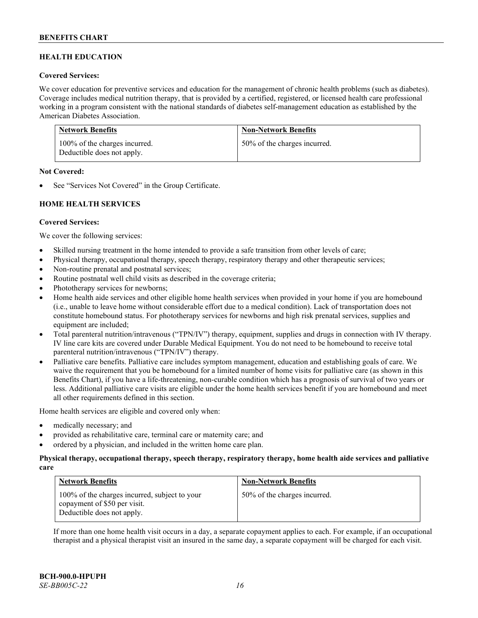# **HEALTH EDUCATION**

### **Covered Services:**

We cover education for preventive services and education for the management of chronic health problems (such as diabetes). Coverage includes medical nutrition therapy, that is provided by a certified, registered, or licensed health care professional working in a program consistent with the national standards of diabetes self-management education as established by the American Diabetes Association.

| <b>Network Benefits</b>                                     | <b>Non-Network Benefits</b>  |
|-------------------------------------------------------------|------------------------------|
| 100% of the charges incurred.<br>Deductible does not apply. | 50% of the charges incurred. |

### **Not Covered:**

See "Services Not Covered" in the Group Certificate.

# **HOME HEALTH SERVICES**

### **Covered Services:**

We cover the following services:

- Skilled nursing treatment in the home intended to provide a safe transition from other levels of care;
- Physical therapy, occupational therapy, speech therapy, respiratory therapy and other therapeutic services;
- Non-routine prenatal and postnatal services;
- Routine postnatal well child visits as described in the coverage criteria;
- Phototherapy services for newborns;
- Home health aide services and other eligible home health services when provided in your home if you are homebound (i.e., unable to leave home without considerable effort due to a medical condition). Lack of transportation does not constitute homebound status. For phototherapy services for newborns and high risk prenatal services, supplies and equipment are included;
- Total parenteral nutrition/intravenous ("TPN/IV") therapy, equipment, supplies and drugs in connection with IV therapy. IV line care kits are covered under Durable Medical Equipment. You do not need to be homebound to receive total parenteral nutrition/intravenous ("TPN/IV") therapy.
- Palliative care benefits. Palliative care includes symptom management, education and establishing goals of care. We waive the requirement that you be homebound for a limited number of home visits for palliative care (as shown in this Benefits Chart), if you have a life-threatening, non-curable condition which has a prognosis of survival of two years or less. Additional palliative care visits are eligible under the home health services benefit if you are homebound and meet all other requirements defined in this section.

Home health services are eligible and covered only when:

- medically necessary; and
- provided as rehabilitative care, terminal care or maternity care; and
- ordered by a physician, and included in the written home care plan.

### **Physical therapy, occupational therapy, speech therapy, respiratory therapy, home health aide services and palliative care**

| <b>Network Benefits</b>                                                                                     | <b>Non-Network Benefits</b>  |
|-------------------------------------------------------------------------------------------------------------|------------------------------|
| 100% of the charges incurred, subject to your<br>copayment of \$50 per visit.<br>Deductible does not apply. | 50% of the charges incurred. |

If more than one home health visit occurs in a day, a separate copayment applies to each. For example, if an occupational therapist and a physical therapist visit an insured in the same day, a separate copayment will be charged for each visit.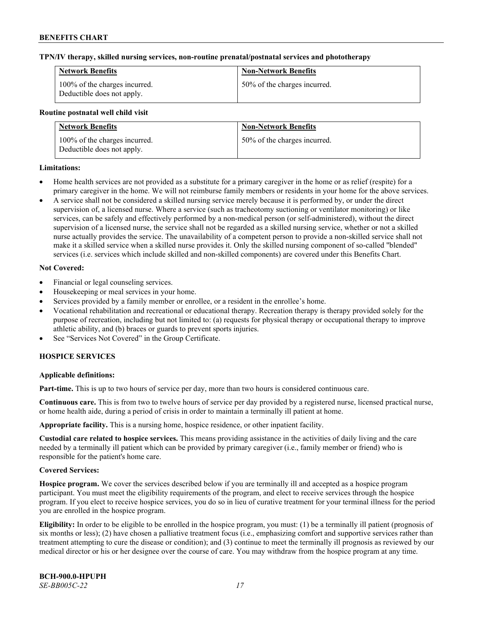### **TPN/IV therapy, skilled nursing services, non-routine prenatal/postnatal services and phototherapy**

| <b>Network Benefits</b>                                     | <b>Non-Network Benefits</b>  |
|-------------------------------------------------------------|------------------------------|
| 100% of the charges incurred.<br>Deductible does not apply. | 50% of the charges incurred. |

### **Routine postnatal well child visit**

| <b>Network Benefits</b>                                     | <b>Non-Network Benefits</b>  |
|-------------------------------------------------------------|------------------------------|
| 100% of the charges incurred.<br>Deductible does not apply. | 50% of the charges incurred. |

# **Limitations:**

- Home health services are not provided as a substitute for a primary caregiver in the home or as relief (respite) for a primary caregiver in the home. We will not reimburse family members or residents in your home for the above services.
- A service shall not be considered a skilled nursing service merely because it is performed by, or under the direct supervision of, a licensed nurse. Where a service (such as tracheotomy suctioning or ventilator monitoring) or like services, can be safely and effectively performed by a non-medical person (or self-administered), without the direct supervision of a licensed nurse, the service shall not be regarded as a skilled nursing service, whether or not a skilled nurse actually provides the service. The unavailability of a competent person to provide a non-skilled service shall not make it a skilled service when a skilled nurse provides it. Only the skilled nursing component of so-called "blended" services (i.e. services which include skilled and non-skilled components) are covered under this Benefits Chart.

### **Not Covered:**

- Financial or legal counseling services.
- Housekeeping or meal services in your home.
- Services provided by a family member or enrollee, or a resident in the enrollee's home.
- Vocational rehabilitation and recreational or educational therapy. Recreation therapy is therapy provided solely for the purpose of recreation, including but not limited to: (a) requests for physical therapy or occupational therapy to improve athletic ability, and (b) braces or guards to prevent sports injuries.
- See "Services Not Covered" in the Group Certificate.

# **HOSPICE SERVICES**

# **Applicable definitions:**

**Part-time.** This is up to two hours of service per day, more than two hours is considered continuous care.

**Continuous care.** This is from two to twelve hours of service per day provided by a registered nurse, licensed practical nurse, or home health aide, during a period of crisis in order to maintain a terminally ill patient at home.

**Appropriate facility.** This is a nursing home, hospice residence, or other inpatient facility.

**Custodial care related to hospice services.** This means providing assistance in the activities of daily living and the care needed by a terminally ill patient which can be provided by primary caregiver (i.e., family member or friend) who is responsible for the patient's home care.

# **Covered Services:**

**Hospice program.** We cover the services described below if you are terminally ill and accepted as a hospice program participant. You must meet the eligibility requirements of the program, and elect to receive services through the hospice program. If you elect to receive hospice services, you do so in lieu of curative treatment for your terminal illness for the period you are enrolled in the hospice program.

**Eligibility:** In order to be eligible to be enrolled in the hospice program, you must: (1) be a terminally ill patient (prognosis of six months or less); (2) have chosen a palliative treatment focus (i.e., emphasizing comfort and supportive services rather than treatment attempting to cure the disease or condition); and (3) continue to meet the terminally ill prognosis as reviewed by our medical director or his or her designee over the course of care. You may withdraw from the hospice program at any time.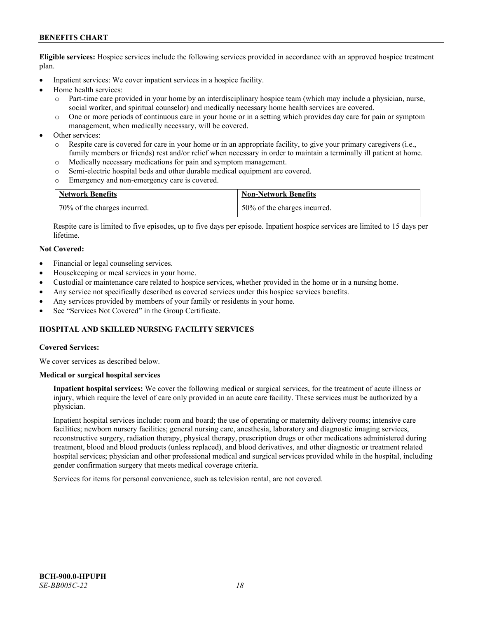**Eligible services:** Hospice services include the following services provided in accordance with an approved hospice treatment plan.

- Inpatient services: We cover inpatient services in a hospice facility.
- Home health services:
	- o Part-time care provided in your home by an interdisciplinary hospice team (which may include a physician, nurse, social worker, and spiritual counselor) and medically necessary home health services are covered.
	- o One or more periods of continuous care in your home or in a setting which provides day care for pain or symptom management, when medically necessary, will be covered.
- Other services:
	- o Respite care is covered for care in your home or in an appropriate facility, to give your primary caregivers (i.e., family members or friends) rest and/or relief when necessary in order to maintain a terminally ill patient at home.
	- o Medically necessary medications for pain and symptom management.
	- o Semi-electric hospital beds and other durable medical equipment are covered.
	- o Emergency and non-emergency care is covered.

| <b>Network Benefits</b>          | <b>Non-Network Benefits</b>  |
|----------------------------------|------------------------------|
| $170\%$ of the charges incurred. | 50% of the charges incurred. |

Respite care is limited to five episodes, up to five days per episode. Inpatient hospice services are limited to 15 days per lifetime.

### **Not Covered:**

- Financial or legal counseling services.
- Housekeeping or meal services in your home.
- Custodial or maintenance care related to hospice services, whether provided in the home or in a nursing home.
- Any service not specifically described as covered services under this hospice services benefits.
- Any services provided by members of your family or residents in your home.
- See "Services Not Covered" in the Group Certificate.

# **HOSPITAL AND SKILLED NURSING FACILITY SERVICES**

### **Covered Services:**

We cover services as described below.

### **Medical or surgical hospital services**

**Inpatient hospital services:** We cover the following medical or surgical services, for the treatment of acute illness or injury, which require the level of care only provided in an acute care facility. These services must be authorized by a physician.

Inpatient hospital services include: room and board; the use of operating or maternity delivery rooms; intensive care facilities; newborn nursery facilities; general nursing care, anesthesia, laboratory and diagnostic imaging services, reconstructive surgery, radiation therapy, physical therapy, prescription drugs or other medications administered during treatment, blood and blood products (unless replaced), and blood derivatives, and other diagnostic or treatment related hospital services; physician and other professional medical and surgical services provided while in the hospital, including gender confirmation surgery that meets medical coverage criteria.

Services for items for personal convenience, such as television rental, are not covered.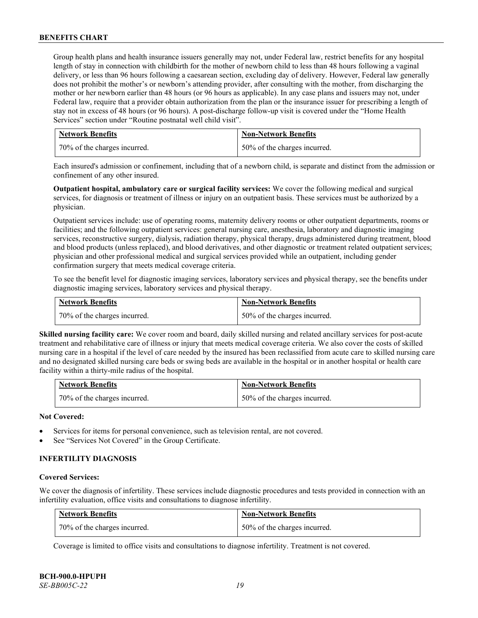Group health plans and health insurance issuers generally may not, under Federal law, restrict benefits for any hospital length of stay in connection with childbirth for the mother of newborn child to less than 48 hours following a vaginal delivery, or less than 96 hours following a caesarean section, excluding day of delivery. However, Federal law generally does not prohibit the mother's or newborn's attending provider, after consulting with the mother, from discharging the mother or her newborn earlier than 48 hours (or 96 hours as applicable). In any case plans and issuers may not, under Federal law, require that a provider obtain authorization from the plan or the insurance issuer for prescribing a length of stay not in excess of 48 hours (or 96 hours). A post-discharge follow-up visit is covered under the "Home Health Services" section under "Routine postnatal well child visit".

| <b>Network Benefits</b>      | <b>Non-Network Benefits</b>      |
|------------------------------|----------------------------------|
| 70% of the charges incurred. | $150\%$ of the charges incurred. |

Each insured's admission or confinement, including that of a newborn child, is separate and distinct from the admission or confinement of any other insured.

**Outpatient hospital, ambulatory care or surgical facility services:** We cover the following medical and surgical services, for diagnosis or treatment of illness or injury on an outpatient basis. These services must be authorized by a physician.

Outpatient services include: use of operating rooms, maternity delivery rooms or other outpatient departments, rooms or facilities; and the following outpatient services: general nursing care, anesthesia, laboratory and diagnostic imaging services, reconstructive surgery, dialysis, radiation therapy, physical therapy, drugs administered during treatment, blood and blood products (unless replaced), and blood derivatives, and other diagnostic or treatment related outpatient services; physician and other professional medical and surgical services provided while an outpatient, including gender confirmation surgery that meets medical coverage criteria.

To see the benefit level for diagnostic imaging services, laboratory services and physical therapy, see the benefits under diagnostic imaging services, laboratory services and physical therapy.

| <b>Network Benefits</b>      | <b>Non-Network Benefits</b>  |
|------------------------------|------------------------------|
| 70% of the charges incurred. | 50% of the charges incurred. |

**Skilled nursing facility care:** We cover room and board, daily skilled nursing and related ancillary services for post-acute treatment and rehabilitative care of illness or injury that meets medical coverage criteria. We also cover the costs of skilled nursing care in a hospital if the level of care needed by the insured has been reclassified from acute care to skilled nursing care and no designated skilled nursing care beds or swing beds are available in the hospital or in another hospital or health care facility within a thirty-mile radius of the hospital.

| <b>Network Benefits</b>      | <b>Non-Network Benefits</b>  |
|------------------------------|------------------------------|
| 70% of the charges incurred. | 50% of the charges incurred. |

# **Not Covered:**

- Services for items for personal convenience, such as television rental, are not covered.
- See "Services Not Covered" in the Group Certificate.

# **INFERTILITY DIAGNOSIS**

### **Covered Services:**

We cover the diagnosis of infertility. These services include diagnostic procedures and tests provided in connection with an infertility evaluation, office visits and consultations to diagnose infertility.

| <b>Network Benefits</b>      | <b>Non-Network Benefits</b>  |
|------------------------------|------------------------------|
| 70% of the charges incurred. | 50% of the charges incurred. |

Coverage is limited to office visits and consultations to diagnose infertility. Treatment is not covered.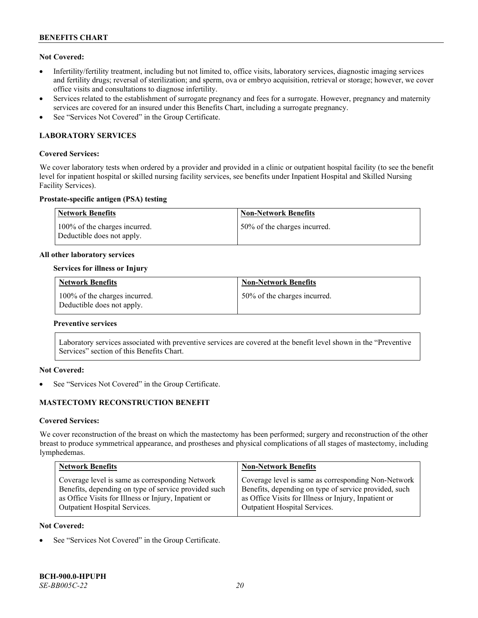# **Not Covered:**

- Infertility/fertility treatment, including but not limited to, office visits, laboratory services, diagnostic imaging services and fertility drugs; reversal of sterilization; and sperm, ova or embryo acquisition, retrieval or storage; however, we cover office visits and consultations to diagnose infertility.
- Services related to the establishment of surrogate pregnancy and fees for a surrogate. However, pregnancy and maternity services are covered for an insured under this Benefits Chart, including a surrogate pregnancy.
- See "Services Not Covered" in the Group Certificate.

# **LABORATORY SERVICES**

### **Covered Services:**

We cover laboratory tests when ordered by a provider and provided in a clinic or outpatient hospital facility (to see the benefit level for inpatient hospital or skilled nursing facility services, see benefits under Inpatient Hospital and Skilled Nursing Facility Services).

### **Prostate-specific antigen (PSA) testing**

| Network Benefits                                            | <b>Non-Network Benefits</b>  |
|-------------------------------------------------------------|------------------------------|
| 100% of the charges incurred.<br>Deductible does not apply. | 50% of the charges incurred. |

### **All other laboratory services**

### **Services for illness or Injury**

| <b>Network Benefits</b>                                     | <b>Non-Network Benefits</b>  |
|-------------------------------------------------------------|------------------------------|
| 100% of the charges incurred.<br>Deductible does not apply. | 50% of the charges incurred. |

### **Preventive services**

Laboratory services associated with preventive services are covered at the benefit level shown in the "Preventive Services" section of this Benefits Chart.

# **Not Covered:**

See "Services Not Covered" in the Group Certificate.

# **MASTECTOMY RECONSTRUCTION BENEFIT**

### **Covered Services:**

We cover reconstruction of the breast on which the mastectomy has been performed; surgery and reconstruction of the other breast to produce symmetrical appearance, and prostheses and physical complications of all stages of mastectomy, including lymphedemas.

| <b>Network Benefits</b>                              | <b>Non-Network Benefits</b>                           |
|------------------------------------------------------|-------------------------------------------------------|
| Coverage level is same as corresponding Network      | Coverage level is same as corresponding Non-Network   |
| Benefits, depending on type of service provided such | Benefits, depending on type of service provided, such |
| as Office Visits for Illness or Injury, Inpatient or | as Office Visits for Illness or Injury, Inpatient or  |
| Outpatient Hospital Services.                        | Outpatient Hospital Services.                         |

### **Not Covered:**

See "Services Not Covered" in the Group Certificate.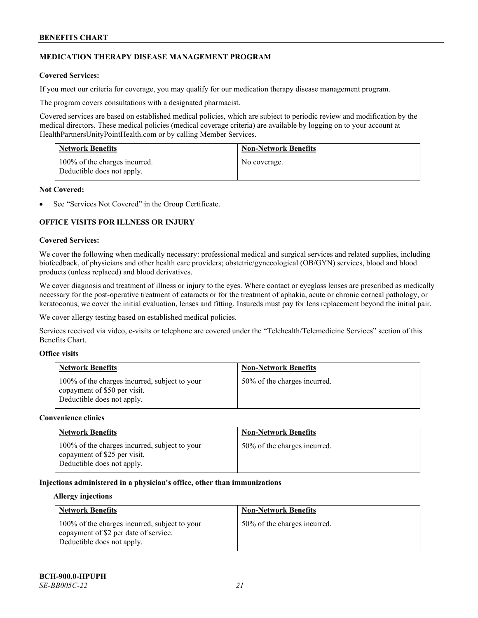# **MEDICATION THERAPY DISEASE MANAGEMENT PROGRAM**

# **Covered Services:**

If you meet our criteria for coverage, you may qualify for our medication therapy disease management program.

The program covers consultations with a designated pharmacist.

Covered services are based on established medical policies, which are subject to periodic review and modification by the medical directors. These medical policies (medical coverage criteria) are available by logging on to your account at [HealthPartnersUnityPointHealth.com](https://www.healthpartnersunitypointhealth.com/) or by calling Member Services.

| <b>Network Benefits</b>                                     | <b>Non-Network Benefits</b> |
|-------------------------------------------------------------|-----------------------------|
| 100% of the charges incurred.<br>Deductible does not apply. | No coverage.                |

### **Not Covered:**

See "Services Not Covered" in the Group Certificate.

# **OFFICE VISITS FOR ILLNESS OR INJURY**

### **Covered Services:**

We cover the following when medically necessary: professional medical and surgical services and related supplies, including biofeedback, of physicians and other health care providers; obstetric/gynecological (OB/GYN) services, blood and blood products (unless replaced) and blood derivatives.

We cover diagnosis and treatment of illness or injury to the eyes. Where contact or eyeglass lenses are prescribed as medically necessary for the post-operative treatment of cataracts or for the treatment of aphakia, acute or chronic corneal pathology, or keratoconus, we cover the initial evaluation, lenses and fitting. Insureds must pay for lens replacement beyond the initial pair.

We cover allergy testing based on established medical policies.

Services received via video, e-visits or telephone are covered under the "Telehealth/Telemedicine Services" section of this Benefits Chart.

# **Office visits**

| <b>Network Benefits</b>                                                                                     | <b>Non-Network Benefits</b>  |
|-------------------------------------------------------------------------------------------------------------|------------------------------|
| 100% of the charges incurred, subject to your<br>copayment of \$50 per visit.<br>Deductible does not apply. | 50% of the charges incurred. |

### **Convenience clinics**

| <b>Network Benefits</b>                                                                                     | <b>Non-Network Benefits</b>  |
|-------------------------------------------------------------------------------------------------------------|------------------------------|
| 100% of the charges incurred, subject to your<br>copayment of \$25 per visit.<br>Deductible does not apply. | 50% of the charges incurred. |

# **Injections administered in a physician's office, other than immunizations**

### **Allergy injections**

| <b>Network Benefits</b>                                                                                              | <b>Non-Network Benefits</b>  |
|----------------------------------------------------------------------------------------------------------------------|------------------------------|
| 100% of the charges incurred, subject to your<br>copayment of \$2 per date of service.<br>Deductible does not apply. | 50% of the charges incurred. |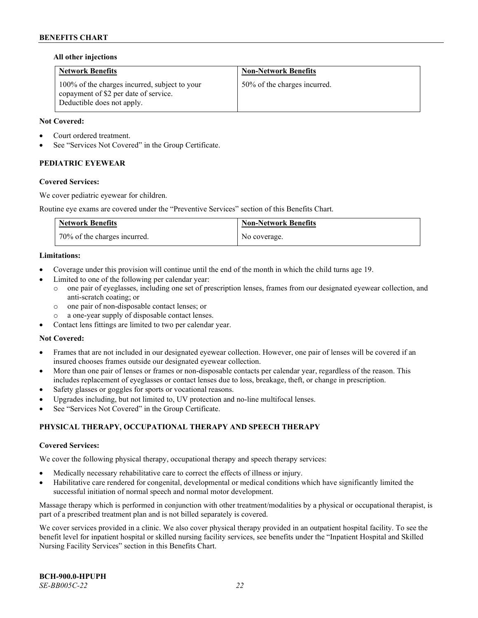### **All other injections**

| <b>Network Benefits</b>                                                                                              | <b>Non-Network Benefits</b>  |
|----------------------------------------------------------------------------------------------------------------------|------------------------------|
| 100% of the charges incurred, subject to your<br>copayment of \$2 per date of service.<br>Deductible does not apply. | 50% of the charges incurred. |

### **Not Covered:**

- Court ordered treatment.
- See "Services Not Covered" in the Group Certificate.

# **PEDIATRIC EYEWEAR**

### **Covered Services:**

We cover pediatric eyewear for children.

Routine eye exams are covered under the "Preventive Services" section of this Benefits Chart.

| <b>Network Benefits</b>      | <b>Non-Network Benefits</b> |
|------------------------------|-----------------------------|
| 70% of the charges incurred. | No coverage.                |

### **Limitations:**

- Coverage under this provision will continue until the end of the month in which the child turns age 19.
	- Limited to one of the following per calendar year:
		- o one pair of eyeglasses, including one set of prescription lenses, frames from our designated eyewear collection, and anti-scratch coating; or
		- o one pair of non-disposable contact lenses; or
		- a one-year supply of disposable contact lenses.
- Contact lens fittings are limited to two per calendar year.

# **Not Covered:**

- Frames that are not included in our designated eyewear collection. However, one pair of lenses will be covered if an insured chooses frames outside our designated eyewear collection.
- More than one pair of lenses or frames or non-disposable contacts per calendar year, regardless of the reason. This includes replacement of eyeglasses or contact lenses due to loss, breakage, theft, or change in prescription.
- Safety glasses or goggles for sports or vocational reasons.
- Upgrades including, but not limited to, UV protection and no-line multifocal lenses.
- See "Services Not Covered" in the Group Certificate.

# **PHYSICAL THERAPY, OCCUPATIONAL THERAPY AND SPEECH THERAPY**

### **Covered Services:**

We cover the following physical therapy, occupational therapy and speech therapy services:

- Medically necessary rehabilitative care to correct the effects of illness or injury.
- Habilitative care rendered for congenital, developmental or medical conditions which have significantly limited the successful initiation of normal speech and normal motor development.

Massage therapy which is performed in conjunction with other treatment/modalities by a physical or occupational therapist, is part of a prescribed treatment plan and is not billed separately is covered.

We cover services provided in a clinic. We also cover physical therapy provided in an outpatient hospital facility. To see the benefit level for inpatient hospital or skilled nursing facility services, see benefits under the "Inpatient Hospital and Skilled Nursing Facility Services" section in this Benefits Chart.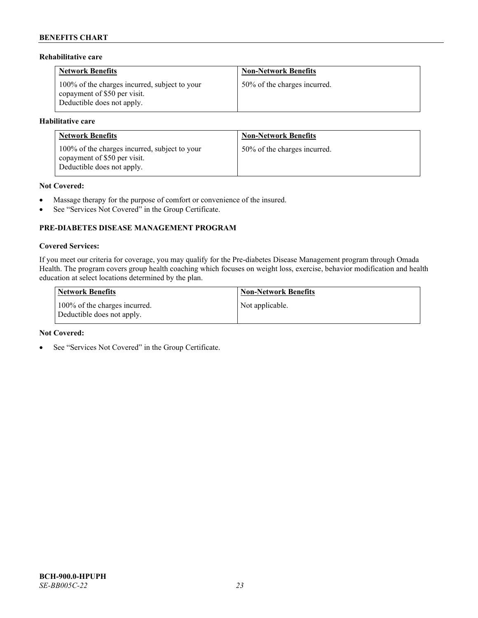# **Rehabilitative care**

| <b>Network Benefits</b>                                                                                     | <b>Non-Network Benefits</b>  |
|-------------------------------------------------------------------------------------------------------------|------------------------------|
| 100% of the charges incurred, subject to your<br>copayment of \$50 per visit.<br>Deductible does not apply. | 50% of the charges incurred. |

### **Habilitative care**

| <b>Network Benefits</b>                                                                                     | <b>Non-Network Benefits</b>  |
|-------------------------------------------------------------------------------------------------------------|------------------------------|
| 100% of the charges incurred, subject to your<br>copayment of \$50 per visit.<br>Deductible does not apply. | 50% of the charges incurred. |

# **Not Covered:**

- Massage therapy for the purpose of comfort or convenience of the insured.
- See "Services Not Covered" in the Group Certificate.

# **PRE-DIABETES DISEASE MANAGEMENT PROGRAM**

### **Covered Services:**

If you meet our criteria for coverage, you may qualify for the Pre-diabetes Disease Management program through Omada Health. The program covers group health coaching which focuses on weight loss, exercise, behavior modification and health education at select locations determined by the plan.

| Network Benefits                                            | <b>Non-Network Benefits</b> |
|-------------------------------------------------------------|-----------------------------|
| 100% of the charges incurred.<br>Deductible does not apply. | Not applicable.             |

### **Not Covered:**

• See "Services Not Covered" in the Group Certificate.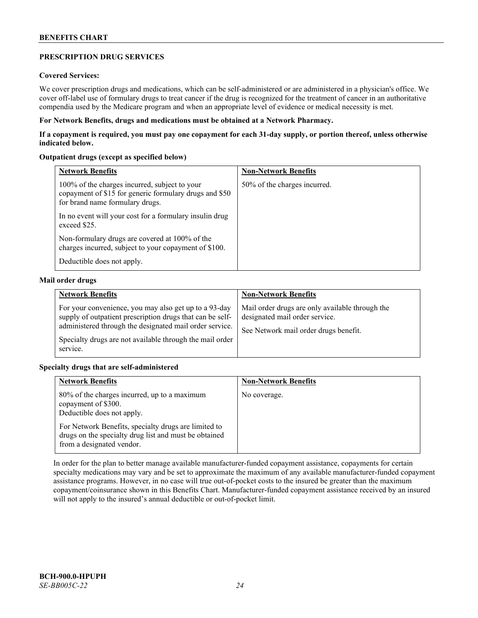# **PRESCRIPTION DRUG SERVICES**

# **Covered Services:**

We cover prescription drugs and medications, which can be self-administered or are administered in a physician's office. We cover off-label use of formulary drugs to treat cancer if the drug is recognized for the treatment of cancer in an authoritative compendia used by the Medicare program and when an appropriate level of evidence or medical necessity is met.

# **For Network Benefits, drugs and medications must be obtained at a Network Pharmacy.**

**If a copayment is required, you must pay one copayment for each 31-day supply, or portion thereof, unless otherwise indicated below.**

# **Outpatient drugs (except as specified below)**

| <b>Network Benefits</b>                                                                                                                    | <b>Non-Network Benefits</b>  |
|--------------------------------------------------------------------------------------------------------------------------------------------|------------------------------|
| 100% of the charges incurred, subject to your<br>copayment of \$15 for generic formulary drugs and \$50<br>for brand name formulary drugs. | 50% of the charges incurred. |
| In no event will your cost for a formulary insulin drug<br>exceed \$25.                                                                    |                              |
| Non-formulary drugs are covered at 100% of the<br>charges incurred, subject to your copayment of \$100.                                    |                              |
| Deductible does not apply.                                                                                                                 |                              |

### **Mail order drugs**

| <b>Network Benefits</b>                                                                                                                                                                                                                               | <b>Non-Network Benefits</b>                                                                                                |
|-------------------------------------------------------------------------------------------------------------------------------------------------------------------------------------------------------------------------------------------------------|----------------------------------------------------------------------------------------------------------------------------|
| For your convenience, you may also get up to a 93-day<br>supply of outpatient prescription drugs that can be self-<br>administered through the designated mail order service.<br>Specialty drugs are not available through the mail order<br>service. | Mail order drugs are only available through the<br>designated mail order service.<br>See Network mail order drugs benefit. |

# **Specialty drugs that are self-administered**

| <b>Network Benefits</b>                                                                                                                    | <b>Non-Network Benefits</b> |
|--------------------------------------------------------------------------------------------------------------------------------------------|-----------------------------|
| 80% of the charges incurred, up to a maximum<br>copayment of \$300.<br>Deductible does not apply.                                          | No coverage.                |
| For Network Benefits, specialty drugs are limited to<br>drugs on the specialty drug list and must be obtained<br>from a designated vendor. |                             |

In order for the plan to better manage available manufacturer-funded copayment assistance, copayments for certain specialty medications may vary and be set to approximate the maximum of any available manufacturer-funded copayment assistance programs. However, in no case will true out-of-pocket costs to the insured be greater than the maximum copayment/coinsurance shown in this Benefits Chart. Manufacturer-funded copayment assistance received by an insured will not apply to the insured's annual deductible or out-of-pocket limit.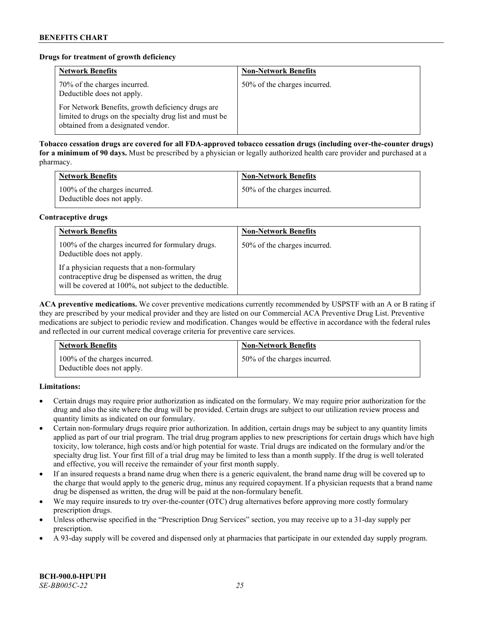# **Drugs for treatment of growth deficiency**

| <b>Network Benefits</b>                                                                                                                            | <b>Non-Network Benefits</b>  |
|----------------------------------------------------------------------------------------------------------------------------------------------------|------------------------------|
| 70% of the charges incurred.<br>Deductible does not apply.                                                                                         | 50% of the charges incurred. |
| For Network Benefits, growth deficiency drugs are<br>limited to drugs on the specialty drug list and must be<br>obtained from a designated vendor. |                              |

**Tobacco cessation drugs are covered for all FDA-approved tobacco cessation drugs (including over-the-counter drugs) for a minimum of 90 days.** Must be prescribed by a physician or legally authorized health care provider and purchased at a pharmacy.

| <b>Network Benefits</b>                                     | <b>Non-Network Benefits</b>  |
|-------------------------------------------------------------|------------------------------|
| 100% of the charges incurred.<br>Deductible does not apply. | 50% of the charges incurred. |

### **Contraceptive drugs**

| <b>Network Benefits</b>                                                                                                                                         | <b>Non-Network Benefits</b>  |
|-----------------------------------------------------------------------------------------------------------------------------------------------------------------|------------------------------|
| 100% of the charges incurred for formulary drugs.<br>Deductible does not apply.                                                                                 | 50% of the charges incurred. |
| If a physician requests that a non-formulary<br>contraceptive drug be dispensed as written, the drug<br>will be covered at 100%, not subject to the deductible. |                              |

**ACA preventive medications.** We cover preventive medications currently recommended by USPSTF with an A or B rating if they are prescribed by your medical provider and they are listed on our Commercial ACA Preventive Drug List. Preventive medications are subject to periodic review and modification. Changes would be effective in accordance with the federal rules and reflected in our current medical coverage criteria for preventive care services.

| <b>Network Benefits</b>                                     | <b>Non-Network Benefits</b>  |
|-------------------------------------------------------------|------------------------------|
| 100% of the charges incurred.<br>Deductible does not apply. | 50% of the charges incurred. |

**Limitations:**

- Certain drugs may require prior authorization as indicated on the formulary. We may require prior authorization for the drug and also the site where the drug will be provided. Certain drugs are subject to our utilization review process and quantity limits as indicated on our formulary.
- Certain non-formulary drugs require prior authorization. In addition, certain drugs may be subject to any quantity limits applied as part of our trial program. The trial drug program applies to new prescriptions for certain drugs which have high toxicity, low tolerance, high costs and/or high potential for waste. Trial drugs are indicated on the formulary and/or the specialty drug list. Your first fill of a trial drug may be limited to less than a month supply. If the drug is well tolerated and effective, you will receive the remainder of your first month supply.
- If an insured requests a brand name drug when there is a generic equivalent, the brand name drug will be covered up to the charge that would apply to the generic drug, minus any required copayment. If a physician requests that a brand name drug be dispensed as written, the drug will be paid at the non-formulary benefit.
- We may require insureds to try over-the-counter (OTC) drug alternatives before approving more costly formulary prescription drugs.
- Unless otherwise specified in the "Prescription Drug Services" section, you may receive up to a 31-day supply per prescription.
- A 93-day supply will be covered and dispensed only at pharmacies that participate in our extended day supply program.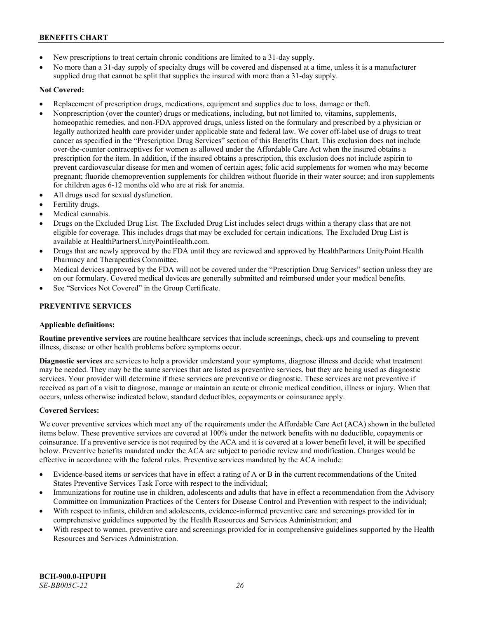- New prescriptions to treat certain chronic conditions are limited to a 31-day supply.
- No more than a 31-day supply of specialty drugs will be covered and dispensed at a time, unless it is a manufacturer supplied drug that cannot be split that supplies the insured with more than a 31-day supply.

# **Not Covered:**

- Replacement of prescription drugs, medications, equipment and supplies due to loss, damage or theft.
- Nonprescription (over the counter) drugs or medications, including, but not limited to, vitamins, supplements, homeopathic remedies, and non-FDA approved drugs, unless listed on the formulary and prescribed by a physician or legally authorized health care provider under applicable state and federal law. We cover off-label use of drugs to treat cancer as specified in the "Prescription Drug Services" section of this Benefits Chart. This exclusion does not include over-the-counter contraceptives for women as allowed under the Affordable Care Act when the insured obtains a prescription for the item. In addition, if the insured obtains a prescription, this exclusion does not include aspirin to prevent cardiovascular disease for men and women of certain ages; folic acid supplements for women who may become pregnant; fluoride chemoprevention supplements for children without fluoride in their water source; and iron supplements for children ages 6-12 months old who are at risk for anemia.
- All drugs used for sexual dysfunction.
- Fertility drugs.
- Medical cannabis.
- Drugs on the Excluded Drug List. The Excluded Drug List includes select drugs within a therapy class that are not eligible for coverage. This includes drugs that may be excluded for certain indications. The Excluded Drug List is available a[t HealthPartnersUnityPointHealth.com.](https://www.healthpartnersunitypointhealth.com/)
- Drugs that are newly approved by the FDA until they are reviewed and approved by HealthPartners UnityPoint Health Pharmacy and Therapeutics Committee.
- Medical devices approved by the FDA will not be covered under the "Prescription Drug Services" section unless they are on our formulary. Covered medical devices are generally submitted and reimbursed under your medical benefits.
- See "Services Not Covered" in the Group Certificate.

# **PREVENTIVE SERVICES**

# **Applicable definitions:**

**Routine preventive services** are routine healthcare services that include screenings, check-ups and counseling to prevent illness, disease or other health problems before symptoms occur.

**Diagnostic services** are services to help a provider understand your symptoms, diagnose illness and decide what treatment may be needed. They may be the same services that are listed as preventive services, but they are being used as diagnostic services. Your provider will determine if these services are preventive or diagnostic. These services are not preventive if received as part of a visit to diagnose, manage or maintain an acute or chronic medical condition, illness or injury. When that occurs, unless otherwise indicated below, standard deductibles, copayments or coinsurance apply.

# **Covered Services:**

We cover preventive services which meet any of the requirements under the Affordable Care Act (ACA) shown in the bulleted items below. These preventive services are covered at 100% under the network benefits with no deductible, copayments or coinsurance. If a preventive service is not required by the ACA and it is covered at a lower benefit level, it will be specified below. Preventive benefits mandated under the ACA are subject to periodic review and modification. Changes would be effective in accordance with the federal rules. Preventive services mandated by the ACA include:

- Evidence-based items or services that have in effect a rating of A or B in the current recommendations of the United States Preventive Services Task Force with respect to the individual;
- Immunizations for routine use in children, adolescents and adults that have in effect a recommendation from the Advisory Committee on Immunization Practices of the Centers for Disease Control and Prevention with respect to the individual;
- With respect to infants, children and adolescents, evidence-informed preventive care and screenings provided for in comprehensive guidelines supported by the Health Resources and Services Administration; and
- With respect to women, preventive care and screenings provided for in comprehensive guidelines supported by the Health Resources and Services Administration.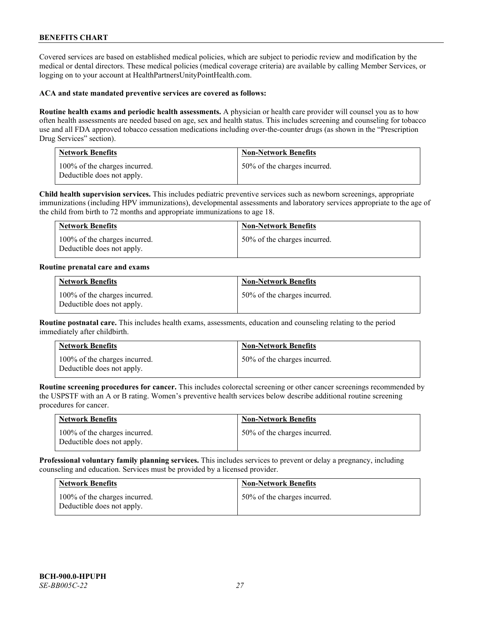Covered services are based on established medical policies, which are subject to periodic review and modification by the medical or dental directors. These medical policies (medical coverage criteria) are available by calling Member Services, or logging on to your account at [HealthPartnersUnityPointHealth.com.](https://www.healthpartnersunitypointhealth.com/)

### **ACA and state mandated preventive services are covered as follows:**

**Routine health exams and periodic health assessments.** A physician or health care provider will counsel you as to how often health assessments are needed based on age, sex and health status. This includes screening and counseling for tobacco use and all FDA approved tobacco cessation medications including over-the-counter drugs (as shown in the "Prescription Drug Services" section).

| <b>Network Benefits</b>                                     | <b>Non-Network Benefits</b>  |
|-------------------------------------------------------------|------------------------------|
| 100% of the charges incurred.<br>Deductible does not apply. | 50% of the charges incurred. |

**Child health supervision services.** This includes pediatric preventive services such as newborn screenings, appropriate immunizations (including HPV immunizations), developmental assessments and laboratory services appropriate to the age of the child from birth to 72 months and appropriate immunizations to age 18.

| <b>Network Benefits</b>                                     | <b>Non-Network Benefits</b>  |
|-------------------------------------------------------------|------------------------------|
| 100% of the charges incurred.<br>Deductible does not apply. | 50% of the charges incurred. |

### **Routine prenatal care and exams**

| <b>Network Benefits</b>                                     | <b>Non-Network Benefits</b>  |
|-------------------------------------------------------------|------------------------------|
| 100% of the charges incurred.<br>Deductible does not apply. | 50% of the charges incurred. |

**Routine postnatal care.** This includes health exams, assessments, education and counseling relating to the period immediately after childbirth.

| <b>Network Benefits</b>                                     | <b>Non-Network Benefits</b>  |
|-------------------------------------------------------------|------------------------------|
| 100% of the charges incurred.<br>Deductible does not apply. | 50% of the charges incurred. |

**Routine screening procedures for cancer.** This includes colorectal screening or other cancer screenings recommended by the USPSTF with an A or B rating. Women's preventive health services below describe additional routine screening procedures for cancer.

| Network Benefits                                            | <b>Non-Network Benefits</b>  |
|-------------------------------------------------------------|------------------------------|
| 100% of the charges incurred.<br>Deductible does not apply. | 50% of the charges incurred. |

**Professional voluntary family planning services.** This includes services to prevent or delay a pregnancy, including counseling and education. Services must be provided by a licensed provider.

| <b>Network Benefits</b>                                     | <b>Non-Network Benefits</b>  |
|-------------------------------------------------------------|------------------------------|
| 100% of the charges incurred.<br>Deductible does not apply. | 50% of the charges incurred. |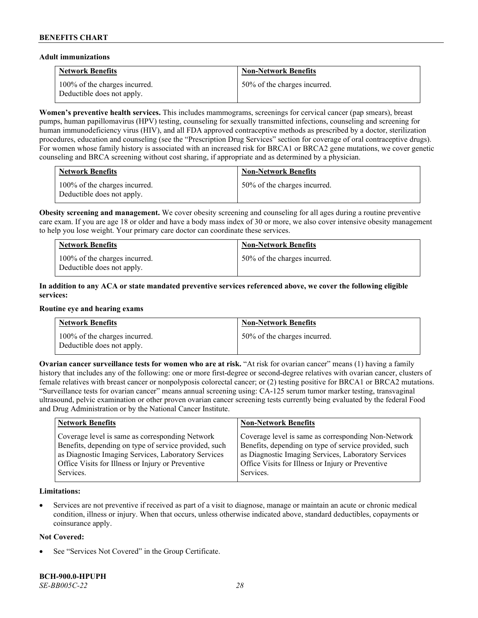### **Adult immunizations**

| <b>Network Benefits</b>                                     | <b>Non-Network Benefits</b>  |
|-------------------------------------------------------------|------------------------------|
| 100% of the charges incurred.<br>Deductible does not apply. | 50% of the charges incurred. |

**Women's preventive health services.** This includes mammograms, screenings for cervical cancer (pap smears), breast pumps, human papillomavirus (HPV) testing, counseling for sexually transmitted infections, counseling and screening for human immunodeficiency virus (HIV), and all FDA approved contraceptive methods as prescribed by a doctor, sterilization procedures, education and counseling (see the "Prescription Drug Services" section for coverage of oral contraceptive drugs). For women whose family history is associated with an increased risk for BRCA1 or BRCA2 gene mutations, we cover genetic counseling and BRCA screening without cost sharing, if appropriate and as determined by a physician.

| <b>Network Benefits</b>                                     | <b>Non-Network Benefits</b>  |
|-------------------------------------------------------------|------------------------------|
| 100% of the charges incurred.<br>Deductible does not apply. | 50% of the charges incurred. |

**Obesity screening and management.** We cover obesity screening and counseling for all ages during a routine preventive care exam. If you are age 18 or older and have a body mass index of 30 or more, we also cover intensive obesity management to help you lose weight. Your primary care doctor can coordinate these services.

| <b>Network Benefits</b>                                     | <b>Non-Network Benefits</b>  |
|-------------------------------------------------------------|------------------------------|
| 100% of the charges incurred.<br>Deductible does not apply. | 50% of the charges incurred. |

# **In addition to any ACA or state mandated preventive services referenced above, we cover the following eligible services:**

#### **Routine eye and hearing exams**

| <b>Network Benefits</b>                                     | <b>Non-Network Benefits</b>  |
|-------------------------------------------------------------|------------------------------|
| 100% of the charges incurred.<br>Deductible does not apply. | 50% of the charges incurred. |

**Ovarian cancer surveillance tests for women who are at risk. "At risk for ovarian cancer" means (1) having a family** history that includes any of the following: one or more first-degree or second-degree relatives with ovarian cancer, clusters of female relatives with breast cancer or nonpolyposis colorectal cancer; or (2) testing positive for BRCA1 or BRCA2 mutations. "Surveillance tests for ovarian cancer" means annual screening using: CA-125 serum tumor marker testing, transvaginal ultrasound, pelvic examination or other proven ovarian cancer screening tests currently being evaluated by the federal Food and Drug Administration or by the National Cancer Institute.

| <b>Network Benefits</b>                               | <b>Non-Network Benefits</b>                           |
|-------------------------------------------------------|-------------------------------------------------------|
| Coverage level is same as corresponding Network       | Coverage level is same as corresponding Non-Network   |
| Benefits, depending on type of service provided, such | Benefits, depending on type of service provided, such |
| as Diagnostic Imaging Services, Laboratory Services   | as Diagnostic Imaging Services, Laboratory Services   |
| Office Visits for Illness or Injury or Preventive     | Office Visits for Illness or Injury or Preventive     |
| Services.                                             | Services.                                             |

### **Limitations:**

• Services are not preventive if received as part of a visit to diagnose, manage or maintain an acute or chronic medical condition, illness or injury. When that occurs, unless otherwise indicated above, standard deductibles, copayments or coinsurance apply.

### **Not Covered:**

See "Services Not Covered" in the Group Certificate.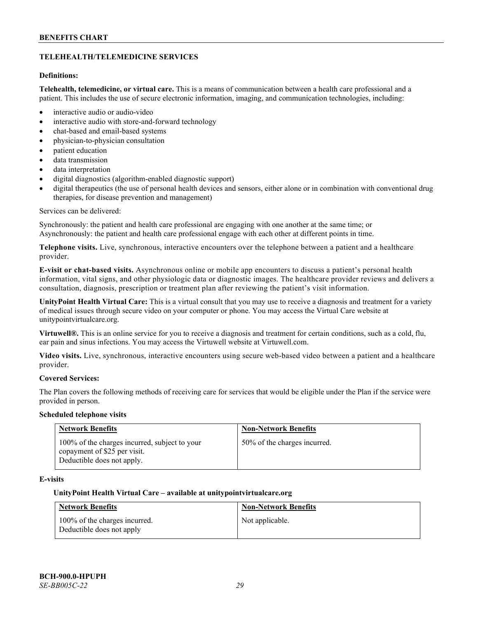# **TELEHEALTH/TELEMEDICINE SERVICES**

# **Definitions:**

**Telehealth, telemedicine, or virtual care.** This is a means of communication between a health care professional and a patient. This includes the use of secure electronic information, imaging, and communication technologies, including:

- interactive audio or audio-video
- interactive audio with store-and-forward technology
- chat-based and email-based systems
- physician-to-physician consultation
- patient education
- data transmission
- data interpretation
- digital diagnostics (algorithm-enabled diagnostic support)
- digital therapeutics (the use of personal health devices and sensors, either alone or in combination with conventional drug therapies, for disease prevention and management)

### Services can be delivered:

Synchronously: the patient and health care professional are engaging with one another at the same time; or Asynchronously: the patient and health care professional engage with each other at different points in time.

**Telephone visits.** Live, synchronous, interactive encounters over the telephone between a patient and a healthcare provider.

**E-visit or chat-based visits.** Asynchronous online or mobile app encounters to discuss a patient's personal health information, vital signs, and other physiologic data or diagnostic images. The healthcare provider reviews and delivers a consultation, diagnosis, prescription or treatment plan after reviewing the patient's visit information.

**UnityPoint Health Virtual Care:** This is a virtual consult that you may use to receive a diagnosis and treatment for a variety of medical issues through secure video on your computer or phone. You may access the Virtual Care website at [unitypointvirtualcare.org.](https://unitypointvirtualcare.org/landing.htm)

**Virtuwell®.** This is an online service for you to receive a diagnosis and treatment for certain conditions, such as a cold, flu, ear pain and sinus infections. You may access the Virtuwell website at [Virtuwell.com.](https://www.virtuwell.com/)

**Video visits.** Live, synchronous, interactive encounters using secure web-based video between a patient and a healthcare provider.

### **Covered Services:**

The Plan covers the following methods of receiving care for services that would be eligible under the Plan if the service were provided in person.

### **Scheduled telephone visits**

| <b>Network Benefits</b>                                                                                     | <b>Non-Network Benefits</b>  |
|-------------------------------------------------------------------------------------------------------------|------------------------------|
| 100% of the charges incurred, subject to your<br>copayment of \$25 per visit.<br>Deductible does not apply. | 50% of the charges incurred. |

# **E-visits**

### **UnityPoint Health Virtual Care – available a[t unitypointvirtualcare.org](http://www.unitypointvirtualcare.org/)**

| <b>Network Benefits</b>                                    | <b>Non-Network Benefits</b> |
|------------------------------------------------------------|-----------------------------|
| 100% of the charges incurred.<br>Deductible does not apply | Not applicable.             |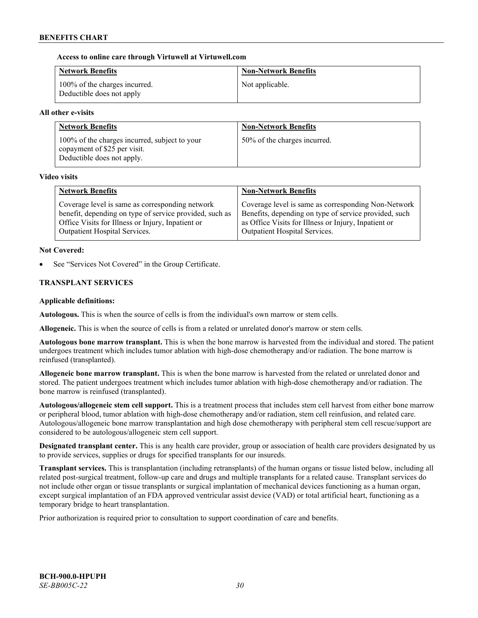# **Access to online care through Virtuwell at [Virtuwell.com](http://www.virtuwell.com/)**

| <b>Network Benefits</b>                                    | <b>Non-Network Benefits</b> |
|------------------------------------------------------------|-----------------------------|
| 100% of the charges incurred.<br>Deductible does not apply | Not applicable.             |

# **All other e-visits**

| <b>Network Benefits</b>                                                                                     | <b>Non-Network Benefits</b>  |
|-------------------------------------------------------------------------------------------------------------|------------------------------|
| 100% of the charges incurred, subject to your<br>copayment of \$25 per visit.<br>Deductible does not apply. | 50% of the charges incurred. |

### **Video visits**

| <b>Network Benefits</b>                                 | <b>Non-Network Benefits</b>                           |
|---------------------------------------------------------|-------------------------------------------------------|
| Coverage level is same as corresponding network         | Coverage level is same as corresponding Non-Network   |
| benefit, depending on type of service provided, such as | Benefits, depending on type of service provided, such |
| Office Visits for Illness or Injury, Inpatient or       | as Office Visits for Illness or Injury, Inpatient or  |
| Outpatient Hospital Services.                           | Outpatient Hospital Services.                         |

# **Not Covered:**

See "Services Not Covered" in the Group Certificate.

# **TRANSPLANT SERVICES**

### **Applicable definitions:**

**Autologous.** This is when the source of cells is from the individual's own marrow or stem cells.

**Allogeneic.** This is when the source of cells is from a related or unrelated donor's marrow or stem cells.

**Autologous bone marrow transplant.** This is when the bone marrow is harvested from the individual and stored. The patient undergoes treatment which includes tumor ablation with high-dose chemotherapy and/or radiation. The bone marrow is reinfused (transplanted).

**Allogeneic bone marrow transplant.** This is when the bone marrow is harvested from the related or unrelated donor and stored. The patient undergoes treatment which includes tumor ablation with high-dose chemotherapy and/or radiation. The bone marrow is reinfused (transplanted).

**Autologous/allogeneic stem cell support.** This is a treatment process that includes stem cell harvest from either bone marrow or peripheral blood, tumor ablation with high-dose chemotherapy and/or radiation, stem cell reinfusion, and related care. Autologous/allogeneic bone marrow transplantation and high dose chemotherapy with peripheral stem cell rescue/support are considered to be autologous/allogeneic stem cell support.

**Designated transplant center.** This is any health care provider, group or association of health care providers designated by us to provide services, supplies or drugs for specified transplants for our insureds.

**Transplant services.** This is transplantation (including retransplants) of the human organs or tissue listed below, including all related post-surgical treatment, follow-up care and drugs and multiple transplants for a related cause. Transplant services do not include other organ or tissue transplants or surgical implantation of mechanical devices functioning as a human organ, except surgical implantation of an FDA approved ventricular assist device (VAD) or total artificial heart, functioning as a temporary bridge to heart transplantation.

Prior authorization is required prior to consultation to support coordination of care and benefits.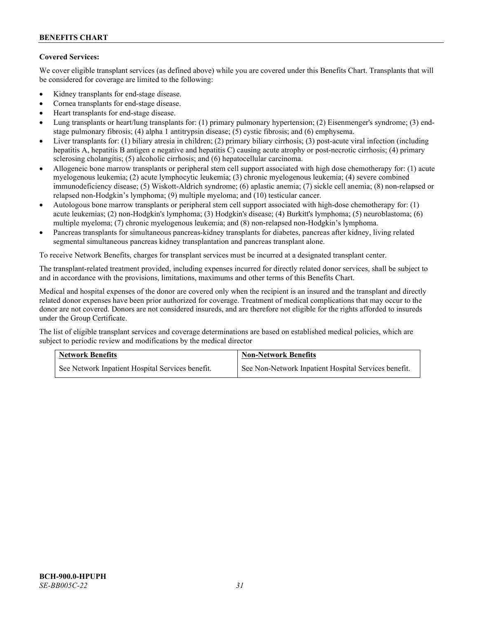# **Covered Services:**

We cover eligible transplant services (as defined above) while you are covered under this Benefits Chart. Transplants that will be considered for coverage are limited to the following:

- Kidney transplants for end-stage disease.
- Cornea transplants for end-stage disease.
- Heart transplants for end-stage disease.
- Lung transplants or heart/lung transplants for: (1) primary pulmonary hypertension; (2) Eisenmenger's syndrome; (3) endstage pulmonary fibrosis; (4) alpha 1 antitrypsin disease; (5) cystic fibrosis; and (6) emphysema.
- Liver transplants for: (1) biliary atresia in children; (2) primary biliary cirrhosis; (3) post-acute viral infection (including hepatitis A, hepatitis B antigen e negative and hepatitis C) causing acute atrophy or post-necrotic cirrhosis; (4) primary sclerosing cholangitis; (5) alcoholic cirrhosis; and (6) hepatocellular carcinoma.
- Allogeneic bone marrow transplants or peripheral stem cell support associated with high dose chemotherapy for: (1) acute myelogenous leukemia; (2) acute lymphocytic leukemia; (3) chronic myelogenous leukemia; (4) severe combined immunodeficiency disease; (5) Wiskott-Aldrich syndrome; (6) aplastic anemia; (7) sickle cell anemia; (8) non-relapsed or relapsed non-Hodgkin's lymphoma; (9) multiple myeloma; and (10) testicular cancer.
- Autologous bone marrow transplants or peripheral stem cell support associated with high-dose chemotherapy for: (1) acute leukemias; (2) non-Hodgkin's lymphoma; (3) Hodgkin's disease; (4) Burkitt's lymphoma; (5) neuroblastoma; (6) multiple myeloma; (7) chronic myelogenous leukemia; and (8) non-relapsed non-Hodgkin's lymphoma.
- Pancreas transplants for simultaneous pancreas-kidney transplants for diabetes, pancreas after kidney, living related segmental simultaneous pancreas kidney transplantation and pancreas transplant alone.

To receive Network Benefits, charges for transplant services must be incurred at a designated transplant center.

The transplant-related treatment provided, including expenses incurred for directly related donor services, shall be subject to and in accordance with the provisions, limitations, maximums and other terms of this Benefits Chart.

Medical and hospital expenses of the donor are covered only when the recipient is an insured and the transplant and directly related donor expenses have been prior authorized for coverage. Treatment of medical complications that may occur to the donor are not covered. Donors are not considered insureds, and are therefore not eligible for the rights afforded to insureds under the Group Certificate.

The list of eligible transplant services and coverage determinations are based on established medical policies, which are subject to periodic review and modifications by the medical director

| <b>Network Benefits</b>                          | <b>Non-Network Benefits</b>                          |  |
|--------------------------------------------------|------------------------------------------------------|--|
| See Network Inpatient Hospital Services benefit. | See Non-Network Inpatient Hospital Services benefit. |  |